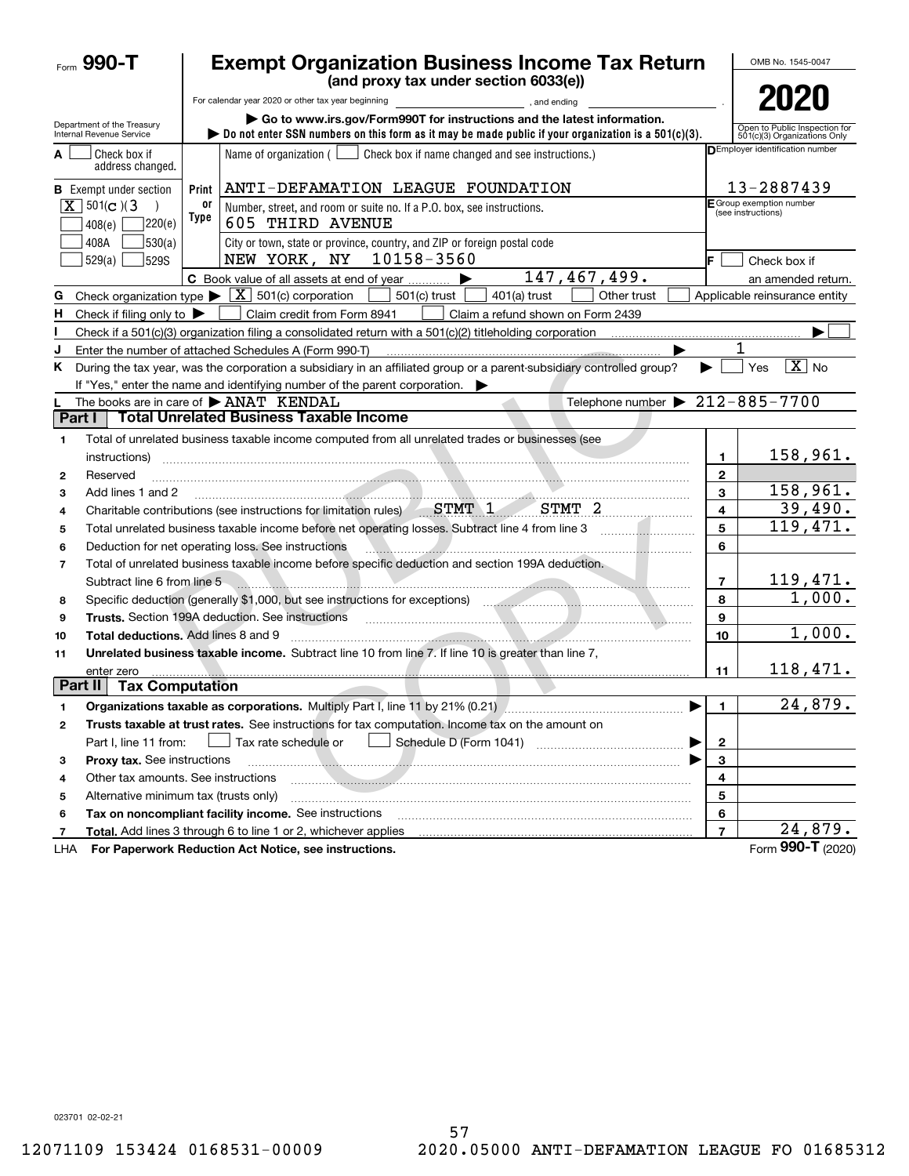|                | Form 990-T                                             |            | <b>Exempt Organization Business Income Tax Return</b>                                                                                                                                                                         |                | OMB No. 1545-0047                                             |
|----------------|--------------------------------------------------------|------------|-------------------------------------------------------------------------------------------------------------------------------------------------------------------------------------------------------------------------------|----------------|---------------------------------------------------------------|
|                |                                                        |            | (and proxy tax under section 6033(e))                                                                                                                                                                                         |                |                                                               |
|                |                                                        |            | For calendar year 2020 or other tax year beginning [10] [10] The calendar year 2020 or other tax year beginning                                                                                                               |                | 2020                                                          |
|                | Department of the Treasury<br>Internal Revenue Service |            | Go to www.irs.gov/Form990T for instructions and the latest information.<br>bo not enter SSN numbers on this form as it may be made public if your organization is a $501(c)(3)$ .                                             |                | Open to Public Inspection for<br>501(c)(3) Organizations Only |
| A              | Check box if<br>address changed.                       |            | Name of organization $($<br>Check box if name changed and see instructions.)                                                                                                                                                  |                | DEmployer identification number                               |
|                | <b>B</b> Exempt under section                          | Print      | ANTI-DEFAMATION LEAGUE FOUNDATION                                                                                                                                                                                             |                | 13-2887439                                                    |
|                | $X$ 501(c)(3)<br>220(e)<br>408(e)                      | 0ľ<br>Type | Number, street, and room or suite no. If a P.O. box, see instructions.<br><b>605 THIRD AVENUE</b>                                                                                                                             |                | F Group exemption number<br>(see instructions)                |
|                | 530(a) <br>408A<br>529(a)<br><b>529S</b>               |            | City or town, state or province, country, and ZIP or foreign postal code<br>10158-3560<br>NEW YORK, NY                                                                                                                        | IF.            | Check box if                                                  |
|                |                                                        |            | 147,467,499.<br>C Book value of all assets at end of year                                                                                                                                                                     |                | an amended return.                                            |
| G              |                                                        |            | Check organization type $\triangleright \lfloor \underline{X} \rfloor$ 501(c) corporation<br>$501(c)$ trust<br>$401(a)$ trust<br>Other trust                                                                                  |                | Applicable reinsurance entity                                 |
| Н.             | Check if filing only to $\blacktriangleright$          |            | Claim credit from Form 8941<br>Claim a refund shown on Form 2439                                                                                                                                                              |                |                                                               |
|                |                                                        |            |                                                                                                                                                                                                                               |                |                                                               |
| J              |                                                        |            | Enter the number of attached Schedules A (Form 990-T)                                                                                                                                                                         |                |                                                               |
| Κ              |                                                        |            | During the tax year, was the corporation a subsidiary in an affiliated group or a parent-subsidiary controlled group?<br>If "Yes," enter the name and identifying number of the parent corporation.                           |                | $\boxed{\text{X}}$ No<br>Yes                                  |
|                |                                                        |            | Telephone number $\triangleright$ 212-885-7700<br>The books are in care of $\blacktriangleright$ ANAT KENDAL                                                                                                                  |                |                                                               |
| Part I         |                                                        |            | <b>Total Unrelated Business Taxable Income</b>                                                                                                                                                                                |                |                                                               |
| 1              |                                                        |            | Total of unrelated business taxable income computed from all unrelated trades or businesses (see                                                                                                                              |                |                                                               |
|                | instructions)                                          |            |                                                                                                                                                                                                                               | 1              | 158,961.                                                      |
| $\mathbf{2}$   | Reserved                                               |            |                                                                                                                                                                                                                               | $\mathbf{2}$   |                                                               |
| 3              | Add lines 1 and 2                                      |            |                                                                                                                                                                                                                               | 3              | 158,961.                                                      |
| 4              |                                                        |            | Charitable contributions (see instructions for limitation rules) STMT 1 STMT 2                                                                                                                                                | 4              | 39,490.                                                       |
| 5              |                                                        |            | Total unrelated business taxable income before net operating losses. Subtract line 4 from line 3                                                                                                                              | 5              | 119,471.                                                      |
| 6              |                                                        |            | Deduction for net operating loss. See instructions                                                                                                                                                                            | 6              |                                                               |
| $\overline{7}$ |                                                        |            | Total of unrelated business taxable income before specific deduction and section 199A deduction.                                                                                                                              |                |                                                               |
|                | Subtract line 6 from line 5                            |            | <u> 1989 - Johann Stein, Amerikaansk politiker (</u>                                                                                                                                                                          | $\overline{7}$ | 119,471.                                                      |
| 8              |                                                        |            | Specific deduction (generally \$1,000, but see instructions for exceptions) manufactured and contain an exception of                                                                                                          | 8              | 1,000.                                                        |
| 9              |                                                        |            |                                                                                                                                                                                                                               | 9              |                                                               |
| 10             |                                                        |            | Total deductions. Add lines 8 and 9 measurements and contract the state of the state of the state of the state of the state of the state of the state of the state of the state of the state of the state of the state of the | 10             | 1,000.                                                        |
| 11             |                                                        |            | Unrelated business taxable income. Subtract line 10 from line 7. If line 10 is greater than line 7,                                                                                                                           |                |                                                               |
|                | enter zero                                             |            |                                                                                                                                                                                                                               | 11             | 118,471.                                                      |
| Part II        | <b>Tax Computation</b>                                 |            |                                                                                                                                                                                                                               |                |                                                               |
|                |                                                        |            | Organizations taxable as corporations. Multiply Part I, line 11 by 21% (0.21) [[[[[[[[[[[[[[[[[[[[[[                                                                                                                          | 1              | 24,879.                                                       |
| 2              |                                                        |            | Trusts taxable at trust rates. See instructions for tax computation. Income tax on the amount on                                                                                                                              |                |                                                               |
|                | Part I, line 11 from:                                  |            | Tax rate schedule or                                                                                                                                                                                                          | $\mathbf 2$    |                                                               |
| з              | Proxy tax. See instructions                            |            |                                                                                                                                                                                                                               | 3              |                                                               |
| 4              | Other tax amounts. See instructions                    |            |                                                                                                                                                                                                                               | 4              |                                                               |
| 5              | Alternative minimum tax (trusts only)                  |            |                                                                                                                                                                                                                               | 5              |                                                               |
| 6              |                                                        |            | Tax on noncompliant facility income. See instructions                                                                                                                                                                         | 6              |                                                               |
| 7              |                                                        |            | Total. Add lines 3 through 6 to line 1 or 2, whichever applies                                                                                                                                                                | $\overline{7}$ | 24,879.                                                       |
| LHA            |                                                        |            | For Paperwork Reduction Act Notice, see instructions.                                                                                                                                                                         |                | Form 990-T (2020)                                             |

023701 02-02-21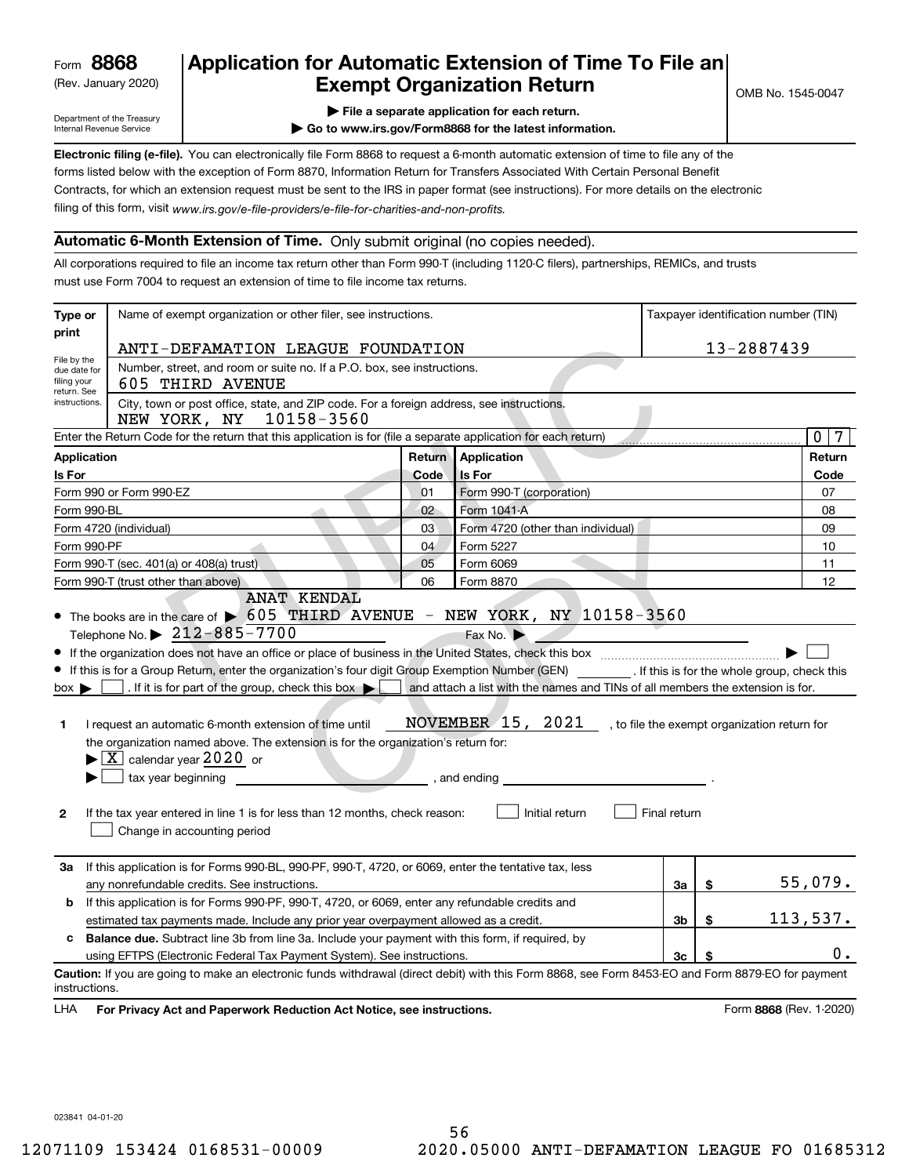(Rev. January 2020)

# **Application for Automatic Extension of Time To File an Exempt Organization Return**

Department of the Treasury Internal Revenue Service

| File a separate application for each return. |
|----------------------------------------------|
|----------------------------------------------|

**| Go to www.irs.gov/Form8868 for the latest information.**

**Electronic filing (e-file).**  You can electronically file Form 8868 to request a 6-month automatic extension of time to file any of the filing of this form, visit www.irs.gov/e-file-providers/e-file-for-charities-and-non-profits. forms listed below with the exception of Form 8870, Information Return for Transfers Associated With Certain Personal Benefit Contracts, for which an extension request must be sent to the IRS in paper format (see instructions). For more details on the electronic

### **Automatic 6-Month Extension of Time.** Only submit original (no copies needed).

All corporations required to file an income tax return other than Form 990-T (including 1120-C filers), partnerships, REMICs, and trusts must use Form 7004 to request an extension of time to file income tax returns.

| Type or                                                                                                      | Name of exempt organization or other filer, see instructions.                                                                                                                                                                                                                                                                                                                                                                                                                                                                                                                                                             |        |                                                                                                                                                  |              |          | Taxpayer identification number (TIN)         |  |
|--------------------------------------------------------------------------------------------------------------|---------------------------------------------------------------------------------------------------------------------------------------------------------------------------------------------------------------------------------------------------------------------------------------------------------------------------------------------------------------------------------------------------------------------------------------------------------------------------------------------------------------------------------------------------------------------------------------------------------------------------|--------|--------------------------------------------------------------------------------------------------------------------------------------------------|--------------|----------|----------------------------------------------|--|
| print                                                                                                        | ANTI-DEFAMATION LEAGUE FOUNDATION                                                                                                                                                                                                                                                                                                                                                                                                                                                                                                                                                                                         |        |                                                                                                                                                  |              |          | 13-2887439                                   |  |
| File by the<br>due date for<br>filing your                                                                   | Number, street, and room or suite no. If a P.O. box, see instructions.<br>605 THIRD AVENUE                                                                                                                                                                                                                                                                                                                                                                                                                                                                                                                                |        |                                                                                                                                                  |              |          |                                              |  |
| return. See<br>instructions.                                                                                 | City, town or post office, state, and ZIP code. For a foreign address, see instructions.<br>NEW YORK, NY 10158-3560                                                                                                                                                                                                                                                                                                                                                                                                                                                                                                       |        |                                                                                                                                                  |              |          |                                              |  |
|                                                                                                              | Enter the Return Code for the return that this application is for (file a separate application for each return)                                                                                                                                                                                                                                                                                                                                                                                                                                                                                                           |        |                                                                                                                                                  |              |          | $\overline{0}$<br>7                          |  |
| Application                                                                                                  |                                                                                                                                                                                                                                                                                                                                                                                                                                                                                                                                                                                                                           | Return | Application                                                                                                                                      |              |          | Return                                       |  |
| Is For                                                                                                       |                                                                                                                                                                                                                                                                                                                                                                                                                                                                                                                                                                                                                           | Code   | <b>Is For</b>                                                                                                                                    |              |          | Code                                         |  |
|                                                                                                              | Form 990 or Form 990-EZ                                                                                                                                                                                                                                                                                                                                                                                                                                                                                                                                                                                                   | 01     | Form 990-T (corporation)                                                                                                                         |              |          | 07                                           |  |
| Form 990-BL                                                                                                  |                                                                                                                                                                                                                                                                                                                                                                                                                                                                                                                                                                                                                           | 02     | Form 1041-A                                                                                                                                      |              |          | 08                                           |  |
|                                                                                                              | Form 4720 (individual)                                                                                                                                                                                                                                                                                                                                                                                                                                                                                                                                                                                                    | 03     | Form 4720 (other than individual)                                                                                                                |              |          | 09                                           |  |
| Form 990-PF                                                                                                  |                                                                                                                                                                                                                                                                                                                                                                                                                                                                                                                                                                                                                           | 04     | Form 5227                                                                                                                                        |              |          | 10                                           |  |
|                                                                                                              | Form 990-T (sec. 401(a) or 408(a) trust)                                                                                                                                                                                                                                                                                                                                                                                                                                                                                                                                                                                  | 05     | Form 6069                                                                                                                                        |              |          | 11                                           |  |
|                                                                                                              | Form 990-T (trust other than above)<br><b>ANAT KENDAL</b>                                                                                                                                                                                                                                                                                                                                                                                                                                                                                                                                                                 | 06     | Form 8870                                                                                                                                        |              |          | 12                                           |  |
| $box \blacktriangleright$<br>1.<br>$\mathbf{2}$                                                              | Telephone No. $\triangleright$ 212-885-7700<br>If this is for a Group Return, enter the organization's four digit Group Exemption Number (GEN) [If this is for the whole group, check this<br>. If it is for part of the group, check this box $\blacktriangleright$<br>I request an automatic 6-month extension of time until<br>the organization named above. The extension is for the organization's return for:<br>$\blacktriangleright$ $\boxed{\text{X}}$ calendar year 2020 or<br>tax year beginning<br>If the tax year entered in line 1 is for less than 12 months, check reason:<br>Change in accounting period |        | Fax No.<br>and attach a list with the names and TINs of all members the extension is for.<br>NOVEMBER 15, 2021<br>, and ending<br>Initial return | Final return |          | , to file the exempt organization return for |  |
| За                                                                                                           | If this application is for Forms 990-BL, 990-PF, 990-T, 4720, or 6069, enter the tentative tax, less<br>any nonrefundable credits. See instructions.                                                                                                                                                                                                                                                                                                                                                                                                                                                                      |        |                                                                                                                                                  | За           | \$       | 55,079.                                      |  |
| b                                                                                                            | If this application is for Forms 990-PF, 990-T, 4720, or 6069, enter any refundable credits and                                                                                                                                                                                                                                                                                                                                                                                                                                                                                                                           |        |                                                                                                                                                  |              |          |                                              |  |
| 3 <sub>b</sub><br>\$<br>estimated tax payments made. Include any prior year overpayment allowed as a credit. |                                                                                                                                                                                                                                                                                                                                                                                                                                                                                                                                                                                                                           |        |                                                                                                                                                  |              | 113,537. |                                              |  |
| c                                                                                                            | <b>Balance due.</b> Subtract line 3b from line 3a. Include your payment with this form, if required, by                                                                                                                                                                                                                                                                                                                                                                                                                                                                                                                   |        |                                                                                                                                                  |              |          |                                              |  |
|                                                                                                              | using EFTPS (Electronic Federal Tax Payment System). See instructions.                                                                                                                                                                                                                                                                                                                                                                                                                                                                                                                                                    |        |                                                                                                                                                  | 3c           |          | О.                                           |  |
| instructions.                                                                                                | Caution: If you are going to make an electronic funds withdrawal (direct debit) with this Form 8868, see Form 8453-EO and Form 8879-EO for payment                                                                                                                                                                                                                                                                                                                                                                                                                                                                        |        |                                                                                                                                                  |              |          |                                              |  |
| LHA                                                                                                          | For Privacy Act and Paperwork Reduction Act Notice, see instructions.<br>Form 8868 (Rev. 1-2020)                                                                                                                                                                                                                                                                                                                                                                                                                                                                                                                          |        |                                                                                                                                                  |              |          |                                              |  |

023841 04-01-20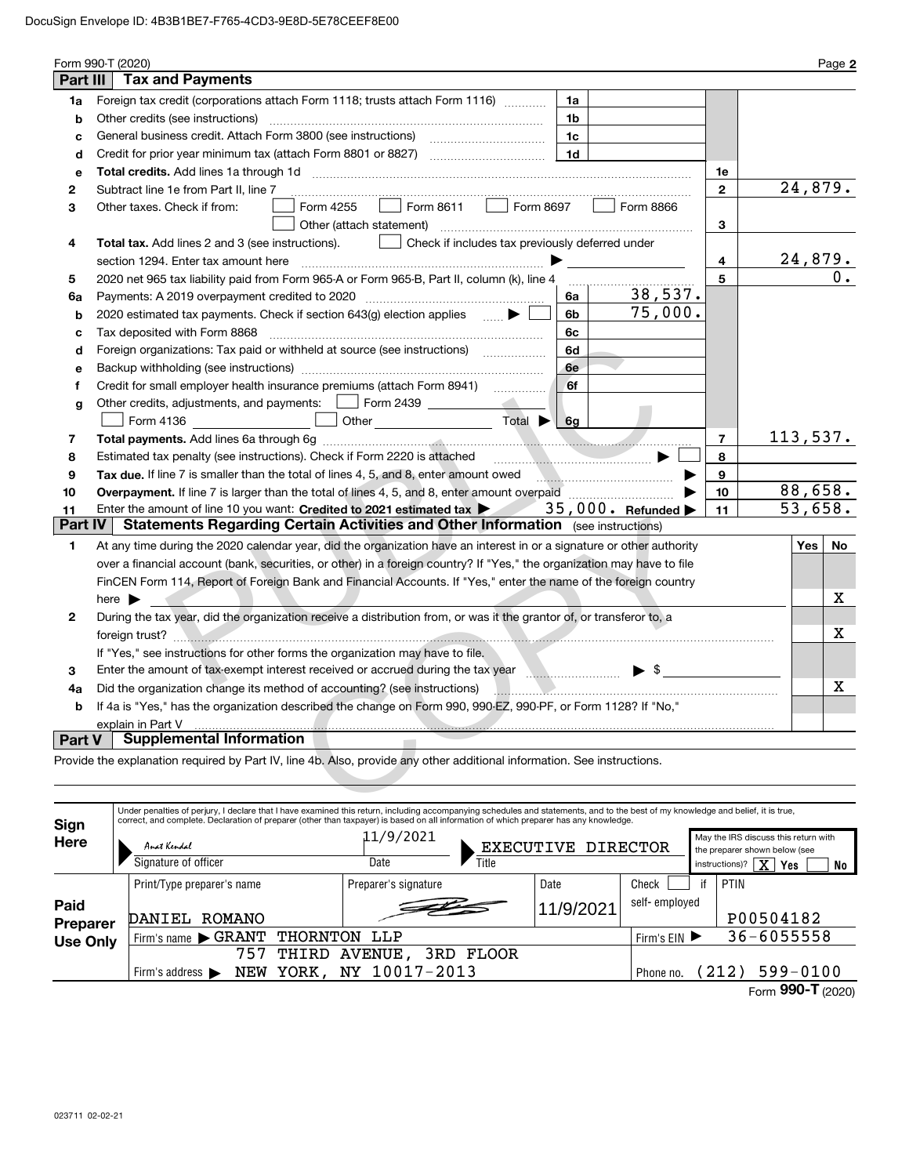|                | Form 990-T (2020)                                                                                                                                                                                                                                                                                                         |              |                                      | Page 2  |
|----------------|---------------------------------------------------------------------------------------------------------------------------------------------------------------------------------------------------------------------------------------------------------------------------------------------------------------------------|--------------|--------------------------------------|---------|
| Part III       | <b>Tax and Payments</b>                                                                                                                                                                                                                                                                                                   |              |                                      |         |
| 1a             | Foreign tax credit (corporations attach Form 1118; trusts attach Form 1116)<br>1a                                                                                                                                                                                                                                         |              |                                      |         |
| b              | Other credits (see instructions)<br>1b                                                                                                                                                                                                                                                                                    |              |                                      |         |
| c              | 1c                                                                                                                                                                                                                                                                                                                        |              |                                      |         |
| d              | 1d                                                                                                                                                                                                                                                                                                                        |              |                                      |         |
| е              |                                                                                                                                                                                                                                                                                                                           | 1е           |                                      |         |
| 2              | Subtract line 1e from Part II, line 7                                                                                                                                                                                                                                                                                     | $\mathbf{2}$ |                                      | 24,879. |
| з              | Form 8611   Form 8697<br>Form 4255<br>Form 8866<br>Other taxes. Check if from:<br>Other (attach statement)                                                                                                                                                                                                                | 3            |                                      |         |
| 4              | Check if includes tax previously deferred under<br><b>Total tax.</b> Add lines 2 and 3 (see instructions).                                                                                                                                                                                                                |              |                                      |         |
|                | section 1294. Enter tax amount here                                                                                                                                                                                                                                                                                       | 4            |                                      | 24,879. |
| 5              | 2020 net 965 tax liability paid from Form 965-A or Form 965-B, Part II, column (k), line 4                                                                                                                                                                                                                                | 5            |                                      | 0.      |
| 6а             | 38,537.<br>Payments: A 2019 overpayment credited to 2020 [11] [11] maximum materials: A 2019 overpayment credited to 2020<br>6a                                                                                                                                                                                           |              |                                      |         |
| b              | 75,000.<br>2020 estimated tax payments. Check if section 643(g) election applies<br>6b                                                                                                                                                                                                                                    |              |                                      |         |
| с              | Tax deposited with Form 8868<br>6с                                                                                                                                                                                                                                                                                        |              |                                      |         |
| d              | Foreign organizations: Tax paid or withheld at source (see instructions)<br>6d                                                                                                                                                                                                                                            |              |                                      |         |
| е              | 6e                                                                                                                                                                                                                                                                                                                        |              |                                      |         |
| f              | Credit for small employer health insurance premiums (attach Form 8941)<br>6f                                                                                                                                                                                                                                              |              |                                      |         |
| g              | Other credits, adjustments, and payments:     Form 2439                                                                                                                                                                                                                                                                   |              |                                      |         |
|                | Form 4136 _________________ □ Other _______________________ Total ▶ L<br>6q                                                                                                                                                                                                                                               |              |                                      |         |
| 7              |                                                                                                                                                                                                                                                                                                                           | 7            | 113,537.                             |         |
| 8              | Estimated tax penalty (see instructions). Check if Form 2220 is attached                                                                                                                                                                                                                                                  | 8            |                                      |         |
| 9              | Tax due. If line 7 is smaller than the total of lines 4, 5, and 8, enter amount owed                                                                                                                                                                                                                                      | 9            |                                      |         |
| 10             |                                                                                                                                                                                                                                                                                                                           | 10           |                                      | 88,658. |
| 11             | Enter the amount of line 10 you want: Credited to 2021 estimated tax $\blacktriangleright$ 35,000. Refunded $\blacktriangleright$                                                                                                                                                                                         | 11           | 53,658.                              |         |
| <b>Part IV</b> | <b>Statements Regarding Certain Activities and Other Information</b> (see instructions)                                                                                                                                                                                                                                   |              |                                      |         |
| 1              | At any time during the 2020 calendar year, did the organization have an interest in or a signature or other authority                                                                                                                                                                                                     |              | Yes                                  | No      |
|                | over a financial account (bank, securities, or other) in a foreign country? If "Yes," the organization may have to file                                                                                                                                                                                                   |              |                                      |         |
|                | FinCEN Form 114, Report of Foreign Bank and Financial Accounts. If "Yes," enter the name of the foreign country                                                                                                                                                                                                           |              |                                      |         |
|                | here $\blacktriangleright$                                                                                                                                                                                                                                                                                                |              |                                      | х       |
| 2              | During the tax year, did the organization receive a distribution from, or was it the grantor of, or transferor to, a                                                                                                                                                                                                      |              |                                      |         |
|                | foreign trust?                                                                                                                                                                                                                                                                                                            |              |                                      | х       |
|                | If "Yes," see instructions for other forms the organization may have to file.                                                                                                                                                                                                                                             |              |                                      |         |
| 3              | Enter the amount of tax-exempt interest received or accrued during the tax year manufactured in the amount of<br>$\blacktriangleright$ \$                                                                                                                                                                                 |              |                                      |         |
| 4a             | Did the organization change its method of accounting? (see instructions)                                                                                                                                                                                                                                                  |              |                                      | X       |
| b              | If 4a is "Yes," has the organization described the change on Form 990, 990-EZ, 990-PF, or Form 1128? If "No,"                                                                                                                                                                                                             |              |                                      |         |
|                | explain in Part V                                                                                                                                                                                                                                                                                                         |              |                                      |         |
| Part V         | <b>Supplemental Information</b>                                                                                                                                                                                                                                                                                           |              |                                      |         |
|                | Provide the explanation required by Part IV, line 4b. Also, provide any other additional information. See instructions.                                                                                                                                                                                                   |              |                                      |         |
|                |                                                                                                                                                                                                                                                                                                                           |              |                                      |         |
|                |                                                                                                                                                                                                                                                                                                                           |              |                                      |         |
|                | Under penalties of perjury, I declare that I have examined this return, including accompanying schedules and statements, and to the best of my knowledge and belief, it is true,<br>correct, and complete. Declaration of preparer (other than taxpayer) is based on all information of which preparer has any knowledge. |              |                                      |         |
| Sign<br>Here   | 11/9/2021                                                                                                                                                                                                                                                                                                                 |              | May the IRS discuss this return with |         |

| Sign             | Under penalties of perjury, I declare that I have examined this return, including accompanying schedules and statements, and to the best of my knowledge and belief, it is true,<br>correct, and complete. Declaration of preparer (other than taxpayer) is based on all information of which preparer has any knowledge. |                            |                    |               |    |                                                                                                            |  |  |  |
|------------------|---------------------------------------------------------------------------------------------------------------------------------------------------------------------------------------------------------------------------------------------------------------------------------------------------------------------------|----------------------------|--------------------|---------------|----|------------------------------------------------------------------------------------------------------------|--|--|--|
| Here             | Anat Kendal<br>Signature of officer                                                                                                                                                                                                                                                                                       | 11/9/2021<br>Title<br>Date | EXECUTIVE DIRECTOR |               |    | May the IRS discuss this return with<br>the preparer shown below (see<br>ΧI<br>instructions)?<br>Yes<br>No |  |  |  |
|                  | Print/Type preparer's name                                                                                                                                                                                                                                                                                                | Preparer's signature       | Date               | Check         | if | PTIN                                                                                                       |  |  |  |
| Paid<br>Preparer | ROMANO<br>DANIEL                                                                                                                                                                                                                                                                                                          |                            | 11/9/2021          | self-employed |    | P00504182                                                                                                  |  |  |  |
| <b>Use Only</b>  | Firm's name GRANT                                                                                                                                                                                                                                                                                                         | THORNTON LLP               |                    | Firm's $EIN$  |    | $36 - 6055558$                                                                                             |  |  |  |
|                  | 757<br>THIRD                                                                                                                                                                                                                                                                                                              | 3RD FLOOR<br>AVENUE,       |                    |               |    |                                                                                                            |  |  |  |
|                  | YORK.<br>NEW<br>Firm's address $\blacktriangleright$                                                                                                                                                                                                                                                                      | NY 10017-2013              |                    | Phone no.     |    | $599 - 0100$<br>(212)                                                                                      |  |  |  |
|                  |                                                                                                                                                                                                                                                                                                                           |                            |                    |               |    | Form 990-T (2020)                                                                                          |  |  |  |

023711 02-02-21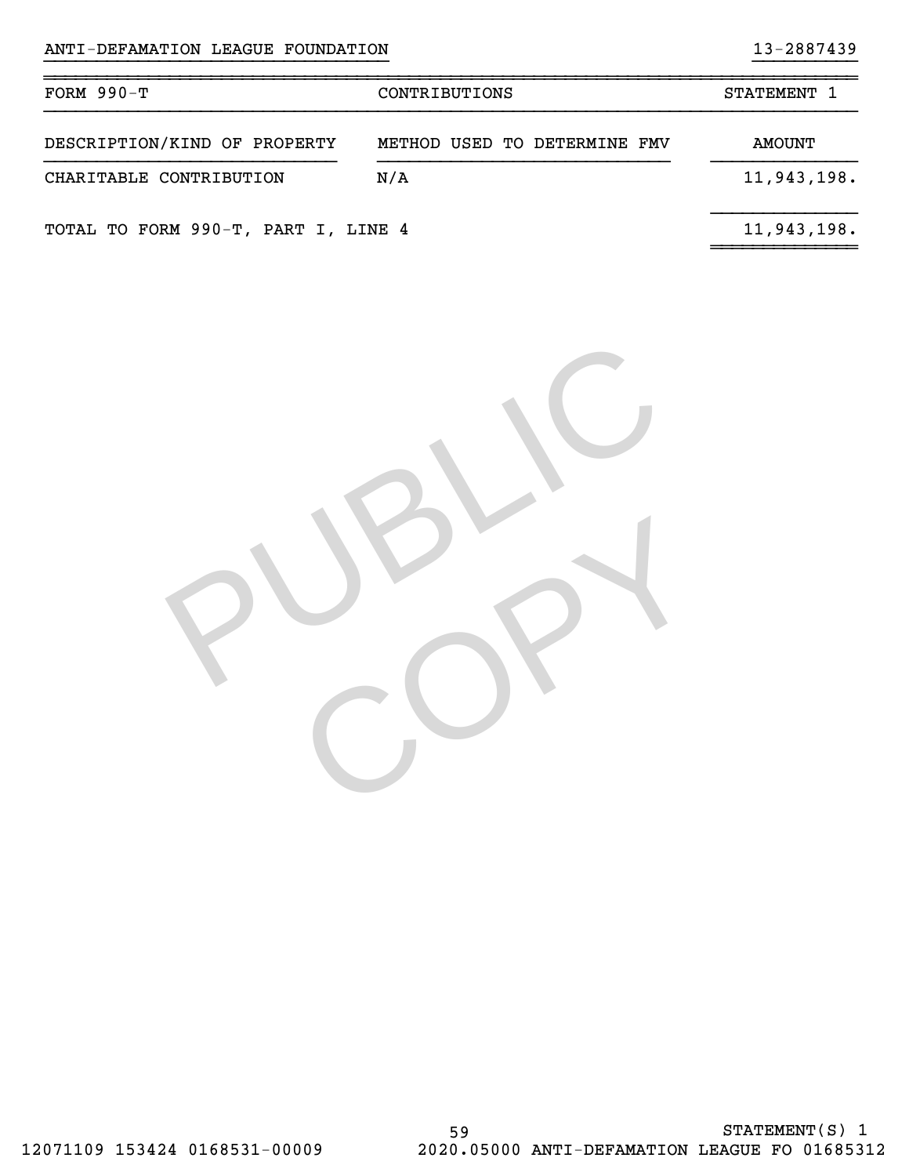| $FORM 990-T$                        | CONTRIBUTIONS                | STATEMENT 1 |
|-------------------------------------|------------------------------|-------------|
| DESCRIPTION/KIND OF PROPERTY        | METHOD USED TO DETERMINE FMV | AMOUNT      |
| CHARITABLE CONTRIBUTION             | N/A                          | 11,943,198. |
| TOTAL TO FORM 990-T, PART I, LINE 4 |                              | 11,943,198. |

}}}}}}}}}}}}}}}}}}}}}}}}}}}}}}}}} }}}}}}}}}}

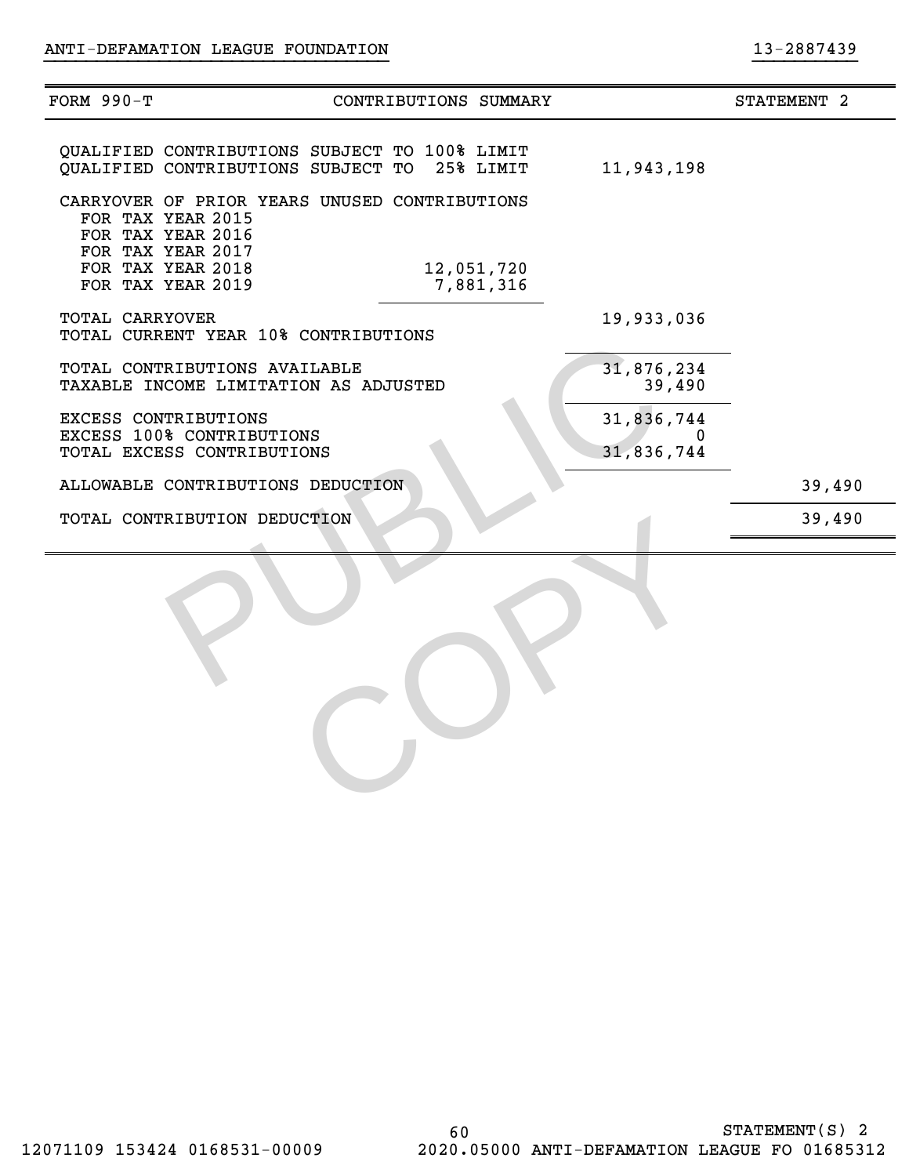| <b>FORM 990-T</b>      |                                                                                                              | CONTRIBUTIONS SUMMARY   |                               | STATEMENT 2 |
|------------------------|--------------------------------------------------------------------------------------------------------------|-------------------------|-------------------------------|-------------|
|                        | QUALIFIED CONTRIBUTIONS SUBJECT TO 100% LIMIT<br>QUALIFIED CONTRIBUTIONS SUBJECT TO                          | 25% LIMIT               | 11,943,198                    |             |
|                        | CARRYOVER OF PRIOR YEARS UNUSED CONTRIBUTIONS<br>FOR TAX YEAR 2015<br>FOR TAX YEAR 2016<br>FOR TAX YEAR 2017 |                         |                               |             |
|                        | FOR TAX YEAR 2018<br>FOR TAX YEAR 2019                                                                       | 12,051,720<br>7,881,316 |                               |             |
| <b>TOTAL CARRYOVER</b> | TOTAL CURRENT YEAR 10% CONTRIBUTIONS                                                                         |                         | 19,933,036                    |             |
|                        | TOTAL CONTRIBUTIONS AVAILABLE<br>TAXABLE INCOME LIMITATION AS ADJUSTED                                       |                         | 31,876,234<br>39,490          |             |
|                        | EXCESS CONTRIBUTIONS<br>EXCESS 100% CONTRIBUTIONS<br>TOTAL EXCESS CONTRIBUTIONS                              |                         | 31,836,744<br>0<br>31,836,744 |             |
|                        | ALLOWABLE CONTRIBUTIONS DEDUCTION                                                                            |                         |                               | 39,490      |
|                        | TOTAL CONTRIBUTION DEDUCTION                                                                                 |                         |                               | 39,490      |
|                        |                                                                                                              |                         |                               |             |

}}}}}}}}}}}}}}}}}}}}}}}}}}}}}}}}} }}}}}}}}}}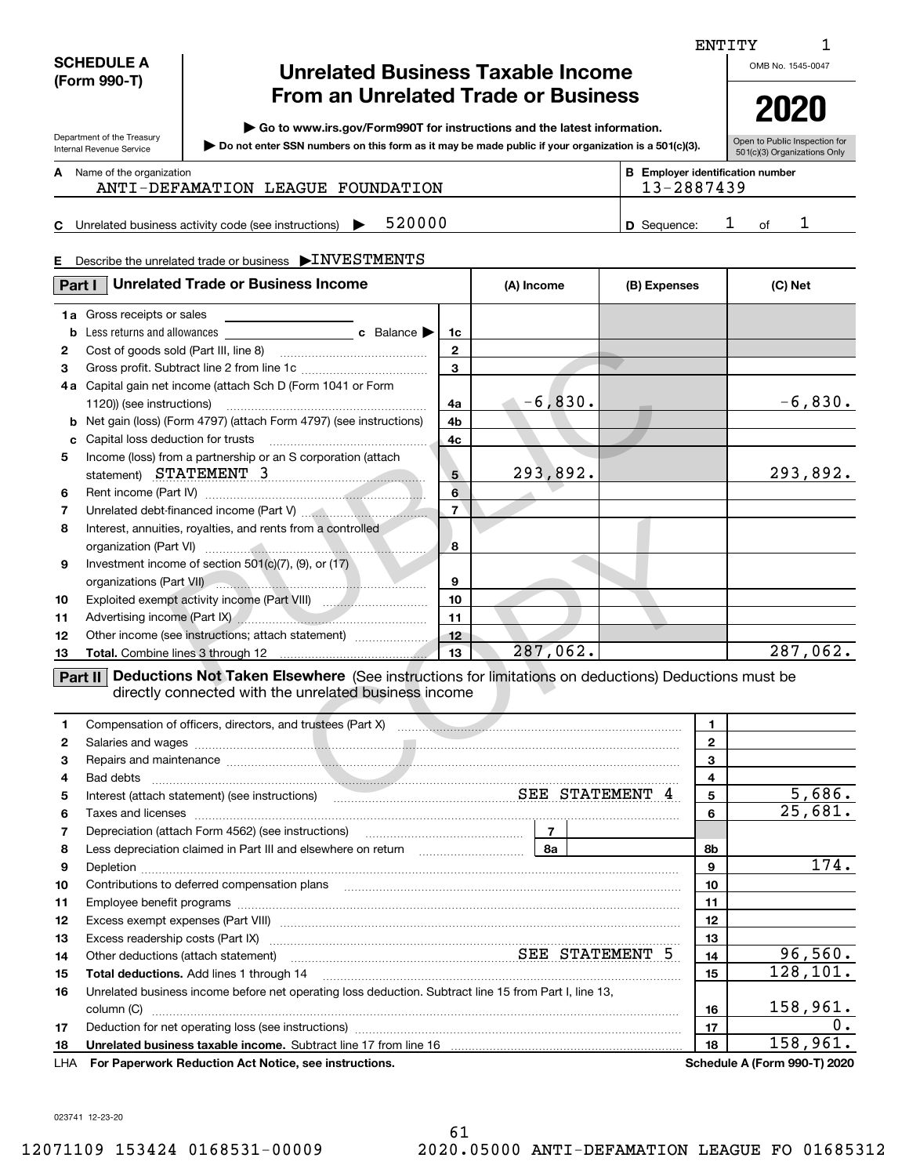### **SCHEDULE A (Form 990-T)**

Department of the Treasury Internal Revenue Service

# **Unrelated Business Taxable Income From an Unrelated Trade or Business**

**| Go to www.irs.gov/Form990T for instructions and the latest information.**

**Do not enter SSN numbers on this form as it may be made public if your organization is a 501(c)(3). |** 

OMB No. 1545-0047 **2020**

ENTITY

| Open to Public Inspection for |
|-------------------------------|
| 501(c)(3) Organizations Only  |

Name of the organization **mumber and the organization number contracts the organization number BEEnployer identification number A**

## ANTI-DEFAMATION LEAGUE FOUNDATION 13-2887439

**C5**20000 1 **1 D** Sequence: 1 of 1 Unrelated business activity code (see instructions)  $\blacktriangleright$  520000  $\blacktriangleright$   $\blacktriangleright$  9 Sequence: 1 of

### **E**Describe the unrelated trade or business  $\,blacktriangleright\!{\rm INVESTMENTS}$

| Part I          | <b>Unrelated Trade or Business Income</b>                                                                                                                                                                                     | (A) Income      | (B) Expenses |            | (C) Net        |           |
|-----------------|-------------------------------------------------------------------------------------------------------------------------------------------------------------------------------------------------------------------------------|-----------------|--------------|------------|----------------|-----------|
| 1a              | Gross receipts or sales                                                                                                                                                                                                       |                 |              |            |                |           |
| b               |                                                                                                                                                                                                                               | 1c              |              |            |                |           |
| $\mathbf{2}$    |                                                                                                                                                                                                                               | $\mathbf{2}$    |              |            |                |           |
| 3               |                                                                                                                                                                                                                               | $\mathbf{3}$    |              |            |                |           |
| 4a              | Capital gain net income (attach Sch D (Form 1041 or Form                                                                                                                                                                      |                 |              |            |                |           |
|                 | 1120)) (see instructions)                                                                                                                                                                                                     | 4a              | $-6,830.$    | $\sqrt{2}$ |                | $-6,830.$ |
| b               | Net gain (loss) (Form 4797) (attach Form 4797) (see instructions)                                                                                                                                                             | 4b              |              |            |                |           |
| c               | Capital loss deduction for trusts                                                                                                                                                                                             | 4 <sub>c</sub>  |              |            |                |           |
| 5               | Income (loss) from a partnership or an S corporation (attach                                                                                                                                                                  |                 |              |            |                |           |
|                 | statement) STATEMENT 3                                                                                                                                                                                                        | $5^{\circ}$     | 293,892.     |            |                | 293,892.  |
| 6               |                                                                                                                                                                                                                               | $6\overline{6}$ |              |            |                |           |
| 7               |                                                                                                                                                                                                                               | $\overline{7}$  |              |            |                |           |
| 8               | Interest, annuities, royalties, and rents from a controlled                                                                                                                                                                   |                 |              |            |                |           |
|                 |                                                                                                                                                                                                                               | 8               |              |            |                |           |
| 9               | Investment income of section $501(c)(7)$ , (9), or (17)                                                                                                                                                                       |                 |              |            |                |           |
|                 | organizations (Part VII)                                                                                                                                                                                                      | 9               |              |            |                |           |
| 10              |                                                                                                                                                                                                                               | 10              |              |            |                |           |
| 11              |                                                                                                                                                                                                                               | 11              |              |            |                |           |
| 12 <sub>2</sub> | Other income (see instructions; attach statement)                                                                                                                                                                             | 12              |              |            |                |           |
| 13              |                                                                                                                                                                                                                               | 13              | 287,062.     |            |                | 287,062.  |
|                 | Deductions Not Taken Elsewhere (See instructions for limitations on deductions) Deductions must be<br>Part II<br>directly connected with the unrelated business income                                                        |                 |              |            |                |           |
| $\mathbf{1}$    |                                                                                                                                                                                                                               |                 |              |            | $\mathbf{1}$   |           |
| 2               |                                                                                                                                                                                                                               |                 |              |            | $\overline{2}$ |           |
| 3               | Repairs and maintenance measurements are all and the contract of the contract of the contract of the contract of the contract of the contract of the contract of the contract of the contract of the contract of the contract |                 |              |            | 3              |           |
| 4               | Bad debts                                                                                                                                                                                                                     |                 |              |            | 4              |           |
| 5               | Interest (attach statement) (see instructions) <b>ELE STATEMENT 4</b>                                                                                                                                                         |                 |              |            | 5              | 5,686.    |
|                 |                                                                                                                                                                                                                               |                 |              |            |                | 257       |

|     |                                                                                                                                                                                                                                    | 1            |                                     |
|-----|------------------------------------------------------------------------------------------------------------------------------------------------------------------------------------------------------------------------------------|--------------|-------------------------------------|
| 2   |                                                                                                                                                                                                                                    | $\mathbf{2}$ |                                     |
| 3   | Repairs and maintenance material contracts and contracts and maintenance contracts and maintenance material contracts and maintenance                                                                                              | 3            |                                     |
|     |                                                                                                                                                                                                                                    | 4            |                                     |
| 5   | Interest (attach statement) (see instructions) SEE STATEMENT 4                                                                                                                                                                     | 5            | 5,686.                              |
| 6   | Taxes and licenses <b>communications</b> and interest contract the contract of the contract of the contract of the contract of the contract of the contract of the contract of the contract of the contract of the contract of the | 6            | 25,681.                             |
| 7   |                                                                                                                                                                                                                                    |              |                                     |
| 8   |                                                                                                                                                                                                                                    | 8b           |                                     |
| 9   |                                                                                                                                                                                                                                    | 9            | 174.                                |
| 10  |                                                                                                                                                                                                                                    | 10           |                                     |
| 11  |                                                                                                                                                                                                                                    | 11           |                                     |
| 12  |                                                                                                                                                                                                                                    | 12           |                                     |
| 13  | Excess readership costs (Part IX) material content content and a set of the state of the state of the state of                                                                                                                     | 13           |                                     |
| 14  | Other deductions (attach statement) manufactured manufactured SEE STATEMENT 5                                                                                                                                                      | 14           | 96,560.                             |
| 15  | Total deductions. Add lines 1 through 14                                                                                                                                                                                           | 15           | 128,101.                            |
| 16  | Unrelated business income before net operating loss deduction. Subtract line 15 from Part I, line 13,                                                                                                                              |              |                                     |
|     | column (C)                                                                                                                                                                                                                         | 16           | 158,961.                            |
| 17  |                                                                                                                                                                                                                                    | 17           | $0$ .                               |
| 18  |                                                                                                                                                                                                                                    | 18           | 158,961.                            |
| LHA | For Paperwork Reduction Act Notice, see instructions.                                                                                                                                                                              |              | <b>Schedule A (Form 990-T) 2020</b> |

023741 12-23-20

1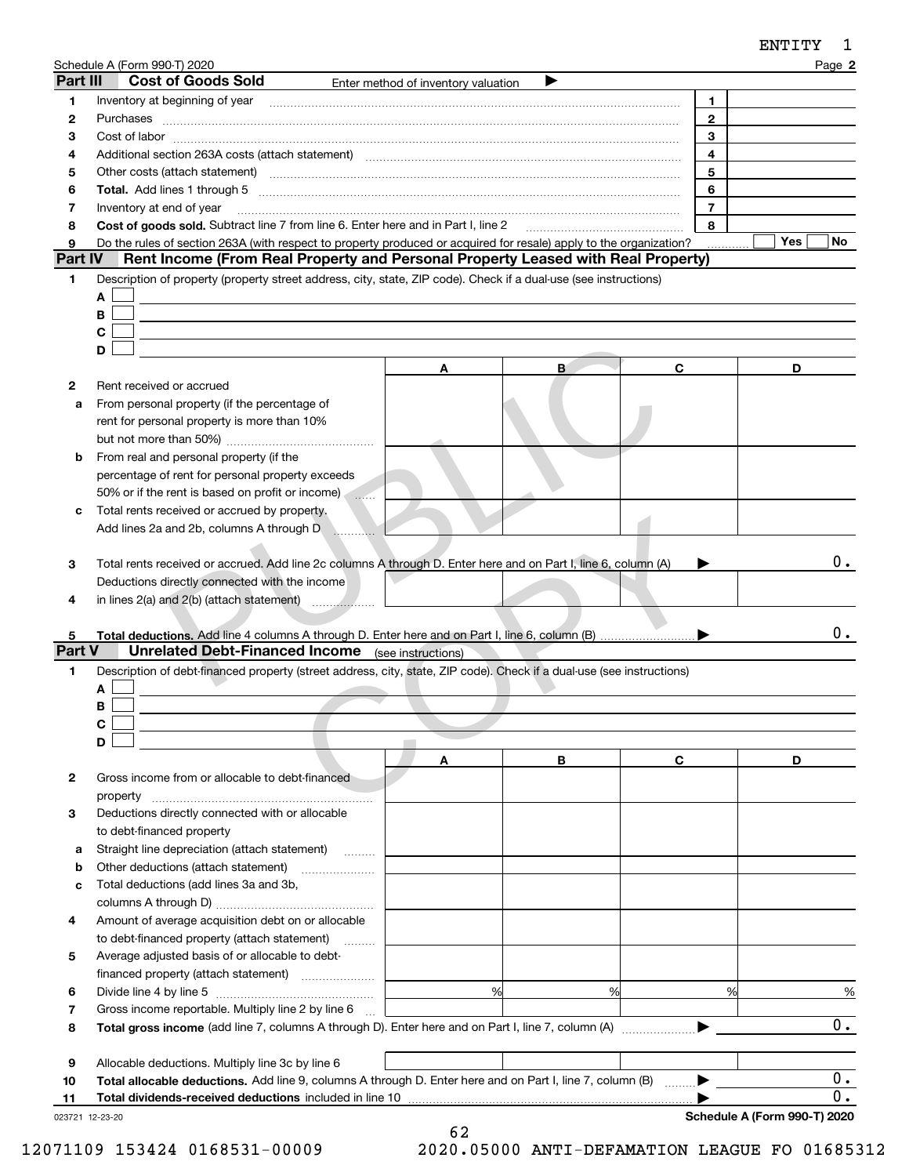|               | Schedule A (Form 990-T) 2020                                                                                                                                                                                                   |                                     |        |                | Page 2           |
|---------------|--------------------------------------------------------------------------------------------------------------------------------------------------------------------------------------------------------------------------------|-------------------------------------|--------|----------------|------------------|
| Part III      | <b>Cost of Goods Sold</b>                                                                                                                                                                                                      | Enter method of inventory valuation |        |                |                  |
| 1             | Inventory at beginning of year                                                                                                                                                                                                 |                                     |        | 1.             |                  |
| 2             |                                                                                                                                                                                                                                |                                     |        | $\mathbf{2}$   |                  |
| 3             |                                                                                                                                                                                                                                |                                     |        | 3              |                  |
| 4             |                                                                                                                                                                                                                                |                                     |        | $\overline{4}$ |                  |
| 5             | Other costs (attach statement) manufactured and contract and contract and contract and contract and contract and contract and contract and contract and contract and contract and contract and contract and contract and contr |                                     |        | 5              |                  |
| 6             |                                                                                                                                                                                                                                |                                     |        | 6              |                  |
| 7             | Inventory at end of year                                                                                                                                                                                                       |                                     |        | $\overline{7}$ |                  |
| 8             | Cost of goods sold. Subtract line 7 from line 6. Enter here and in Part I, line 2 [11] [11] Cost of goods sold. Subtract line 7 from line 6. Enter here and in Part I, line 2                                                  |                                     |        | 8              |                  |
| 9             | Do the rules of section 263A (with respect to property produced or acquired for resale) apply to the organization?                                                                                                             |                                     |        |                | Yes<br>No.       |
| Part IV       | Rent Income (From Real Property and Personal Property Leased with Real Property)                                                                                                                                               |                                     |        |                |                  |
| 1             | Description of property (property street address, city, state, ZIP code). Check if a dual-use (see instructions)                                                                                                               |                                     |        |                |                  |
|               | A                                                                                                                                                                                                                              |                                     |        |                |                  |
|               | В                                                                                                                                                                                                                              |                                     |        |                |                  |
|               | С                                                                                                                                                                                                                              |                                     |        |                |                  |
|               | D                                                                                                                                                                                                                              |                                     |        |                |                  |
|               |                                                                                                                                                                                                                                | A                                   | B      | C              | D                |
| 2             | Rent received or accrued                                                                                                                                                                                                       |                                     |        |                |                  |
| а             | From personal property (if the percentage of                                                                                                                                                                                   |                                     |        |                |                  |
|               | rent for personal property is more than 10%                                                                                                                                                                                    |                                     |        |                |                  |
|               |                                                                                                                                                                                                                                |                                     |        |                |                  |
| b             | From real and personal property (if the                                                                                                                                                                                        |                                     |        |                |                  |
|               | percentage of rent for personal property exceeds                                                                                                                                                                               |                                     |        |                |                  |
|               | 50% or if the rent is based on profit or income)<br>$\ldots$                                                                                                                                                                   |                                     |        |                |                  |
| с             | Total rents received or accrued by property.                                                                                                                                                                                   |                                     |        |                |                  |
|               | Add lines 2a and 2b, columns A through D                                                                                                                                                                                       |                                     |        |                |                  |
|               |                                                                                                                                                                                                                                |                                     |        |                |                  |
| 3             | Total rents received or accrued. Add line 2c columns A through D. Enter here and on Part I, line 6, column (A)                                                                                                                 |                                     |        |                | $0$ .            |
|               | Deductions directly connected with the income                                                                                                                                                                                  |                                     |        |                |                  |
| 4             | in lines $2(a)$ and $2(b)$ (attach statement) $\ldots$                                                                                                                                                                         |                                     |        |                |                  |
|               |                                                                                                                                                                                                                                |                                     |        |                |                  |
| 5             |                                                                                                                                                                                                                                |                                     |        |                | 0.               |
| <b>Part V</b> | <b>Unrelated Debt-Financed Income</b> (see instructions)                                                                                                                                                                       |                                     |        |                |                  |
| 1             | Description of debt-financed property (street address, city, state, ZIP code). Check if a dual-use (see instructions)                                                                                                          |                                     |        |                |                  |
|               | Α                                                                                                                                                                                                                              |                                     |        |                |                  |
|               | В                                                                                                                                                                                                                              |                                     |        |                |                  |
|               | C                                                                                                                                                                                                                              |                                     |        |                |                  |
|               | D                                                                                                                                                                                                                              |                                     |        |                |                  |
|               |                                                                                                                                                                                                                                | A                                   | В      | С              | D                |
| 2             | Gross income from or allocable to debt-financed                                                                                                                                                                                |                                     |        |                |                  |
|               |                                                                                                                                                                                                                                |                                     |        |                |                  |
| 3             | Deductions directly connected with or allocable                                                                                                                                                                                |                                     |        |                |                  |
|               | to debt-financed property                                                                                                                                                                                                      |                                     |        |                |                  |
| а             | Straight line depreciation (attach statement)<br>$\overline{\phantom{a}}$                                                                                                                                                      |                                     |        |                |                  |
| b             | Other deductions (attach statement)                                                                                                                                                                                            |                                     |        |                |                  |
| с             | Total deductions (add lines 3a and 3b,                                                                                                                                                                                         |                                     |        |                |                  |
|               |                                                                                                                                                                                                                                |                                     |        |                |                  |
| 4             | Amount of average acquisition debt on or allocable                                                                                                                                                                             |                                     |        |                |                  |
|               | to debt-financed property (attach statement)                                                                                                                                                                                   |                                     |        |                |                  |
| 5             | Average adjusted basis of or allocable to debt-                                                                                                                                                                                |                                     |        |                |                  |
|               | financed property (attach statement)                                                                                                                                                                                           |                                     |        |                |                  |
| 6             |                                                                                                                                                                                                                                |                                     | %<br>% | %              | %                |
| 7             | Gross income reportable. Multiply line 2 by line 6                                                                                                                                                                             |                                     |        |                |                  |
| 8             | Total gross income (add line 7, columns A through D). Enter here and on Part I, line 7, column (A)                                                                                                                             |                                     |        |                | $\overline{0}$ . |

| <b>9</b> Allocable deductions. Multiply line 3c by line 6                                                    |  |  |
|--------------------------------------------------------------------------------------------------------------|--|--|
| 10 Total allocable deductions. Add line 9, columns A through D. Enter here and on Part I, line 7, column (B) |  |  |

62

023721 12-23-20

 $\overline{0}$ . 0.

12071109 153424 0168531-00009 2020.05000 ANTI-DEFAMATION LEAGUE FO 01685312

 $\blacktriangleright$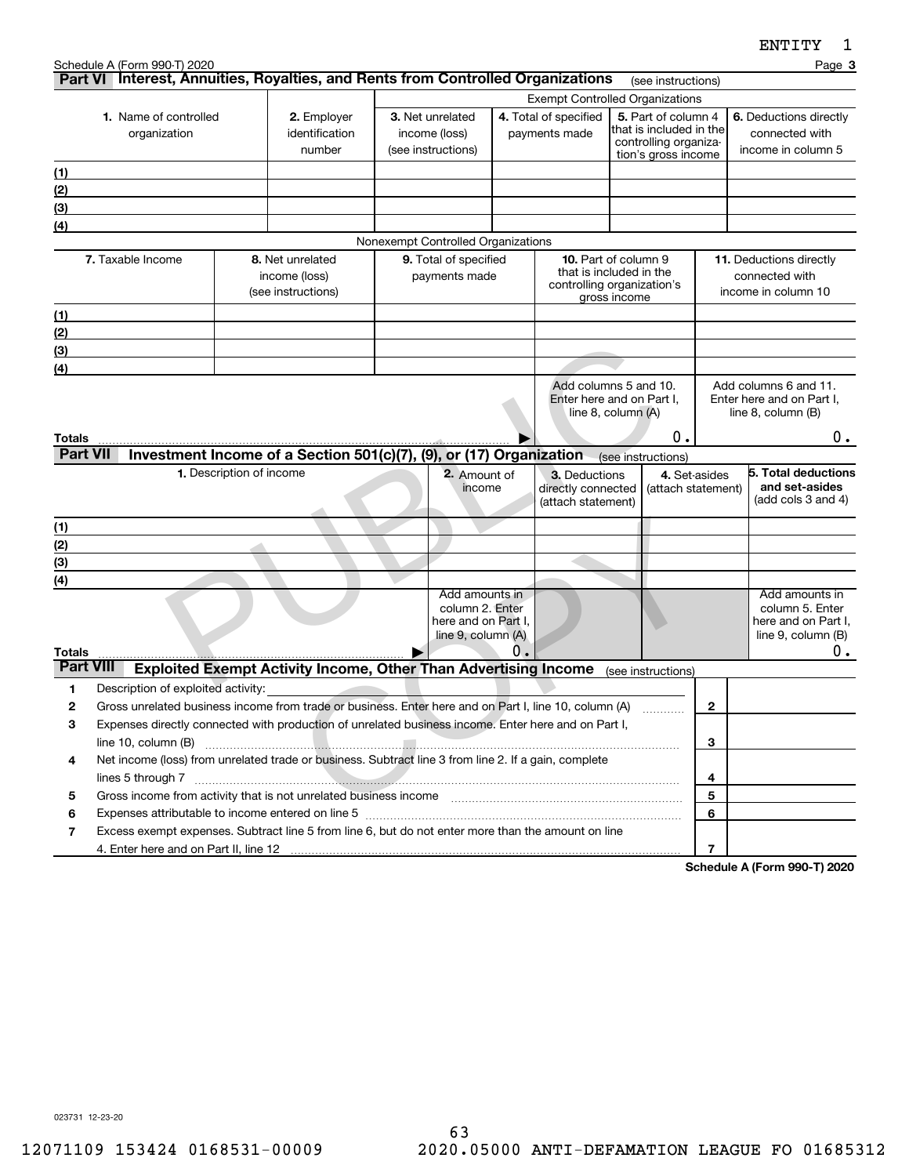| Part VI Interest, Annuities, Royalties, and Rents from Controlled Organizations<br>(see instructions)<br><b>Exempt Controlled Organizations</b><br>5. Part of column 4<br>1. Name of controlled<br>3. Net unrelated<br>4. Total of specified<br>6. Deductions directly<br>2. Employer<br>that is included in the<br>identification<br>income (loss)<br>payments made<br>connected with<br>organization<br>controlling organiza-<br>(see instructions)<br>income in column 5<br>number<br>tion's gross income<br>(1)<br>(2)<br>(3)<br>(4)<br>Nonexempt Controlled Organizations<br>7. Taxable Income<br>9. Total of specified<br>11. Deductions directly<br>8. Net unrelated<br><b>10.</b> Part of column 9<br>that is included in the<br>income (loss)<br>payments made<br>connected with<br>controlling organization's<br>(see instructions)<br>income in column 10<br>gross income<br>(1)<br>(2)<br>(3)<br>(4)<br>Add columns 5 and 10.<br>Add columns 6 and 11.<br>Enter here and on Part I,<br>Enter here and on Part I,<br>line 8, column (A)<br>line 8, column (B)<br>0.<br>$0$ .<br>Totals<br><b>Part VII</b><br>Investment Income of a Section 501(c)(7), (9), or (17) Organization<br>(see instructions)<br>1. Description of income<br>2. Amount of<br>4. Set-asides<br>3. Deductions<br>and set-asides<br>income<br>directly connected<br>(attach statement)<br>(add cols $3$ and $4$ )<br>(attach statement)<br>(1)<br>(2)<br>(3)<br>(4)<br>Add amounts in<br>Add amounts in<br>column 2. Enter<br>column 5. Enter<br>here and on Part I.<br>here and on Part I,<br>line 9, column (A)<br>line 9, column (B)<br>0.<br>0.<br>Totals<br><b>Part VIII</b><br><b>Exploited Exempt Activity Income, Other Than Advertising Income</b><br>(see instructions)<br>Description of exploited activity:<br>1<br>2<br>Gross unrelated business income from trade or business. Enter here and on Part I, line 10, column (A)<br>2<br>3<br>Expenses directly connected with production of unrelated business income. Enter here and on Part I,<br>3<br>line 10, column (B) |  | Schedule A (Form 990-T) 2020 |  |  |  |  |  |  |  |  | Page 3              |
|--------------------------------------------------------------------------------------------------------------------------------------------------------------------------------------------------------------------------------------------------------------------------------------------------------------------------------------------------------------------------------------------------------------------------------------------------------------------------------------------------------------------------------------------------------------------------------------------------------------------------------------------------------------------------------------------------------------------------------------------------------------------------------------------------------------------------------------------------------------------------------------------------------------------------------------------------------------------------------------------------------------------------------------------------------------------------------------------------------------------------------------------------------------------------------------------------------------------------------------------------------------------------------------------------------------------------------------------------------------------------------------------------------------------------------------------------------------------------------------------------------------------------------------------------------------------------------------------------------------------------------------------------------------------------------------------------------------------------------------------------------------------------------------------------------------------------------------------------------------------------------------------------------------------------------------------------------------------------------------------------------------------------------------------------------------------------|--|------------------------------|--|--|--|--|--|--|--|--|---------------------|
|                                                                                                                                                                                                                                                                                                                                                                                                                                                                                                                                                                                                                                                                                                                                                                                                                                                                                                                                                                                                                                                                                                                                                                                                                                                                                                                                                                                                                                                                                                                                                                                                                                                                                                                                                                                                                                                                                                                                                                                                                                                                          |  |                              |  |  |  |  |  |  |  |  |                     |
|                                                                                                                                                                                                                                                                                                                                                                                                                                                                                                                                                                                                                                                                                                                                                                                                                                                                                                                                                                                                                                                                                                                                                                                                                                                                                                                                                                                                                                                                                                                                                                                                                                                                                                                                                                                                                                                                                                                                                                                                                                                                          |  |                              |  |  |  |  |  |  |  |  |                     |
|                                                                                                                                                                                                                                                                                                                                                                                                                                                                                                                                                                                                                                                                                                                                                                                                                                                                                                                                                                                                                                                                                                                                                                                                                                                                                                                                                                                                                                                                                                                                                                                                                                                                                                                                                                                                                                                                                                                                                                                                                                                                          |  |                              |  |  |  |  |  |  |  |  |                     |
|                                                                                                                                                                                                                                                                                                                                                                                                                                                                                                                                                                                                                                                                                                                                                                                                                                                                                                                                                                                                                                                                                                                                                                                                                                                                                                                                                                                                                                                                                                                                                                                                                                                                                                                                                                                                                                                                                                                                                                                                                                                                          |  |                              |  |  |  |  |  |  |  |  |                     |
|                                                                                                                                                                                                                                                                                                                                                                                                                                                                                                                                                                                                                                                                                                                                                                                                                                                                                                                                                                                                                                                                                                                                                                                                                                                                                                                                                                                                                                                                                                                                                                                                                                                                                                                                                                                                                                                                                                                                                                                                                                                                          |  |                              |  |  |  |  |  |  |  |  |                     |
|                                                                                                                                                                                                                                                                                                                                                                                                                                                                                                                                                                                                                                                                                                                                                                                                                                                                                                                                                                                                                                                                                                                                                                                                                                                                                                                                                                                                                                                                                                                                                                                                                                                                                                                                                                                                                                                                                                                                                                                                                                                                          |  |                              |  |  |  |  |  |  |  |  |                     |
|                                                                                                                                                                                                                                                                                                                                                                                                                                                                                                                                                                                                                                                                                                                                                                                                                                                                                                                                                                                                                                                                                                                                                                                                                                                                                                                                                                                                                                                                                                                                                                                                                                                                                                                                                                                                                                                                                                                                                                                                                                                                          |  |                              |  |  |  |  |  |  |  |  |                     |
|                                                                                                                                                                                                                                                                                                                                                                                                                                                                                                                                                                                                                                                                                                                                                                                                                                                                                                                                                                                                                                                                                                                                                                                                                                                                                                                                                                                                                                                                                                                                                                                                                                                                                                                                                                                                                                                                                                                                                                                                                                                                          |  |                              |  |  |  |  |  |  |  |  |                     |
|                                                                                                                                                                                                                                                                                                                                                                                                                                                                                                                                                                                                                                                                                                                                                                                                                                                                                                                                                                                                                                                                                                                                                                                                                                                                                                                                                                                                                                                                                                                                                                                                                                                                                                                                                                                                                                                                                                                                                                                                                                                                          |  |                              |  |  |  |  |  |  |  |  |                     |
|                                                                                                                                                                                                                                                                                                                                                                                                                                                                                                                                                                                                                                                                                                                                                                                                                                                                                                                                                                                                                                                                                                                                                                                                                                                                                                                                                                                                                                                                                                                                                                                                                                                                                                                                                                                                                                                                                                                                                                                                                                                                          |  |                              |  |  |  |  |  |  |  |  |                     |
|                                                                                                                                                                                                                                                                                                                                                                                                                                                                                                                                                                                                                                                                                                                                                                                                                                                                                                                                                                                                                                                                                                                                                                                                                                                                                                                                                                                                                                                                                                                                                                                                                                                                                                                                                                                                                                                                                                                                                                                                                                                                          |  |                              |  |  |  |  |  |  |  |  |                     |
|                                                                                                                                                                                                                                                                                                                                                                                                                                                                                                                                                                                                                                                                                                                                                                                                                                                                                                                                                                                                                                                                                                                                                                                                                                                                                                                                                                                                                                                                                                                                                                                                                                                                                                                                                                                                                                                                                                                                                                                                                                                                          |  |                              |  |  |  |  |  |  |  |  |                     |
|                                                                                                                                                                                                                                                                                                                                                                                                                                                                                                                                                                                                                                                                                                                                                                                                                                                                                                                                                                                                                                                                                                                                                                                                                                                                                                                                                                                                                                                                                                                                                                                                                                                                                                                                                                                                                                                                                                                                                                                                                                                                          |  |                              |  |  |  |  |  |  |  |  |                     |
|                                                                                                                                                                                                                                                                                                                                                                                                                                                                                                                                                                                                                                                                                                                                                                                                                                                                                                                                                                                                                                                                                                                                                                                                                                                                                                                                                                                                                                                                                                                                                                                                                                                                                                                                                                                                                                                                                                                                                                                                                                                                          |  |                              |  |  |  |  |  |  |  |  |                     |
|                                                                                                                                                                                                                                                                                                                                                                                                                                                                                                                                                                                                                                                                                                                                                                                                                                                                                                                                                                                                                                                                                                                                                                                                                                                                                                                                                                                                                                                                                                                                                                                                                                                                                                                                                                                                                                                                                                                                                                                                                                                                          |  |                              |  |  |  |  |  |  |  |  |                     |
|                                                                                                                                                                                                                                                                                                                                                                                                                                                                                                                                                                                                                                                                                                                                                                                                                                                                                                                                                                                                                                                                                                                                                                                                                                                                                                                                                                                                                                                                                                                                                                                                                                                                                                                                                                                                                                                                                                                                                                                                                                                                          |  |                              |  |  |  |  |  |  |  |  | 5. Total deductions |
|                                                                                                                                                                                                                                                                                                                                                                                                                                                                                                                                                                                                                                                                                                                                                                                                                                                                                                                                                                                                                                                                                                                                                                                                                                                                                                                                                                                                                                                                                                                                                                                                                                                                                                                                                                                                                                                                                                                                                                                                                                                                          |  |                              |  |  |  |  |  |  |  |  |                     |
|                                                                                                                                                                                                                                                                                                                                                                                                                                                                                                                                                                                                                                                                                                                                                                                                                                                                                                                                                                                                                                                                                                                                                                                                                                                                                                                                                                                                                                                                                                                                                                                                                                                                                                                                                                                                                                                                                                                                                                                                                                                                          |  |                              |  |  |  |  |  |  |  |  |                     |
|                                                                                                                                                                                                                                                                                                                                                                                                                                                                                                                                                                                                                                                                                                                                                                                                                                                                                                                                                                                                                                                                                                                                                                                                                                                                                                                                                                                                                                                                                                                                                                                                                                                                                                                                                                                                                                                                                                                                                                                                                                                                          |  |                              |  |  |  |  |  |  |  |  |                     |
|                                                                                                                                                                                                                                                                                                                                                                                                                                                                                                                                                                                                                                                                                                                                                                                                                                                                                                                                                                                                                                                                                                                                                                                                                                                                                                                                                                                                                                                                                                                                                                                                                                                                                                                                                                                                                                                                                                                                                                                                                                                                          |  |                              |  |  |  |  |  |  |  |  |                     |
|                                                                                                                                                                                                                                                                                                                                                                                                                                                                                                                                                                                                                                                                                                                                                                                                                                                                                                                                                                                                                                                                                                                                                                                                                                                                                                                                                                                                                                                                                                                                                                                                                                                                                                                                                                                                                                                                                                                                                                                                                                                                          |  |                              |  |  |  |  |  |  |  |  |                     |
|                                                                                                                                                                                                                                                                                                                                                                                                                                                                                                                                                                                                                                                                                                                                                                                                                                                                                                                                                                                                                                                                                                                                                                                                                                                                                                                                                                                                                                                                                                                                                                                                                                                                                                                                                                                                                                                                                                                                                                                                                                                                          |  |                              |  |  |  |  |  |  |  |  |                     |
|                                                                                                                                                                                                                                                                                                                                                                                                                                                                                                                                                                                                                                                                                                                                                                                                                                                                                                                                                                                                                                                                                                                                                                                                                                                                                                                                                                                                                                                                                                                                                                                                                                                                                                                                                                                                                                                                                                                                                                                                                                                                          |  |                              |  |  |  |  |  |  |  |  |                     |
|                                                                                                                                                                                                                                                                                                                                                                                                                                                                                                                                                                                                                                                                                                                                                                                                                                                                                                                                                                                                                                                                                                                                                                                                                                                                                                                                                                                                                                                                                                                                                                                                                                                                                                                                                                                                                                                                                                                                                                                                                                                                          |  |                              |  |  |  |  |  |  |  |  |                     |
|                                                                                                                                                                                                                                                                                                                                                                                                                                                                                                                                                                                                                                                                                                                                                                                                                                                                                                                                                                                                                                                                                                                                                                                                                                                                                                                                                                                                                                                                                                                                                                                                                                                                                                                                                                                                                                                                                                                                                                                                                                                                          |  |                              |  |  |  |  |  |  |  |  |                     |
| Net income (loss) from unrelated trade or business. Subtract line 3 from line 2. If a gain, complete<br>4                                                                                                                                                                                                                                                                                                                                                                                                                                                                                                                                                                                                                                                                                                                                                                                                                                                                                                                                                                                                                                                                                                                                                                                                                                                                                                                                                                                                                                                                                                                                                                                                                                                                                                                                                                                                                                                                                                                                                                |  |                              |  |  |  |  |  |  |  |  |                     |
| 4                                                                                                                                                                                                                                                                                                                                                                                                                                                                                                                                                                                                                                                                                                                                                                                                                                                                                                                                                                                                                                                                                                                                                                                                                                                                                                                                                                                                                                                                                                                                                                                                                                                                                                                                                                                                                                                                                                                                                                                                                                                                        |  |                              |  |  |  |  |  |  |  |  |                     |
| 5<br>5                                                                                                                                                                                                                                                                                                                                                                                                                                                                                                                                                                                                                                                                                                                                                                                                                                                                                                                                                                                                                                                                                                                                                                                                                                                                                                                                                                                                                                                                                                                                                                                                                                                                                                                                                                                                                                                                                                                                                                                                                                                                   |  |                              |  |  |  |  |  |  |  |  |                     |
| 6<br>Expenses attributable to income entered on line 5 [111] [12] manufacture in the state in the state in the state of the state in the state in the state in the state in the state in the state in the state in the state in the<br>6                                                                                                                                                                                                                                                                                                                                                                                                                                                                                                                                                                                                                                                                                                                                                                                                                                                                                                                                                                                                                                                                                                                                                                                                                                                                                                                                                                                                                                                                                                                                                                                                                                                                                                                                                                                                                                 |  |                              |  |  |  |  |  |  |  |  |                     |
| Excess exempt expenses. Subtract line 5 from line 6, but do not enter more than the amount on line<br>7                                                                                                                                                                                                                                                                                                                                                                                                                                                                                                                                                                                                                                                                                                                                                                                                                                                                                                                                                                                                                                                                                                                                                                                                                                                                                                                                                                                                                                                                                                                                                                                                                                                                                                                                                                                                                                                                                                                                                                  |  |                              |  |  |  |  |  |  |  |  |                     |
| 7<br>$0.00 \pm 0.000$                                                                                                                                                                                                                                                                                                                                                                                                                                                                                                                                                                                                                                                                                                                                                                                                                                                                                                                                                                                                                                                                                                                                                                                                                                                                                                                                                                                                                                                                                                                                                                                                                                                                                                                                                                                                                                                                                                                                                                                                                                                    |  |                              |  |  |  |  |  |  |  |  |                     |

**Schedule A (Form 990-T) 2020**

023731 12-23-20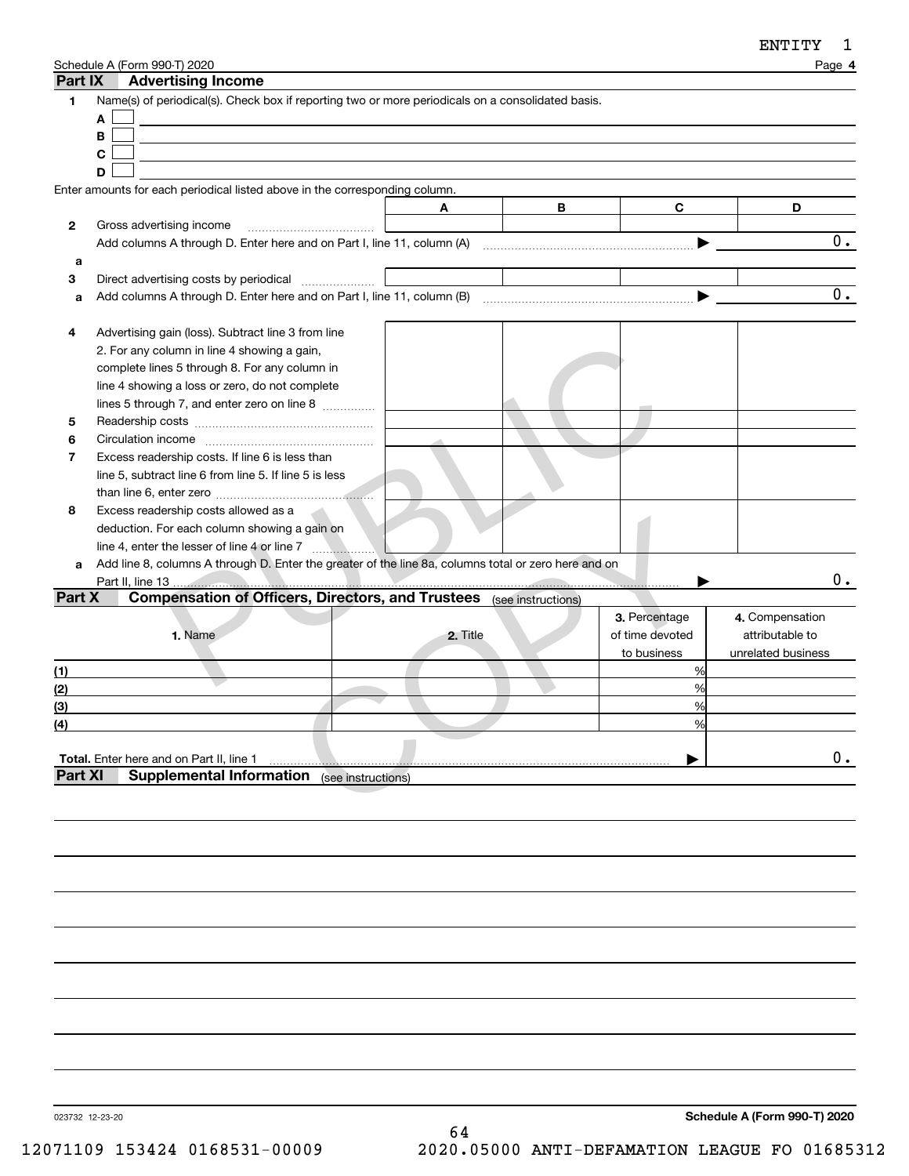| Part IX        | Schedule A (Form 990-T) 2020<br><b>Advertising Income</b>                                            |          |   |                 | Page 4             |
|----------------|------------------------------------------------------------------------------------------------------|----------|---|-----------------|--------------------|
| 1              | Name(s) of periodical(s). Check box if reporting two or more periodicals on a consolidated basis.    |          |   |                 |                    |
|                | A                                                                                                    |          |   |                 |                    |
|                | В                                                                                                    |          |   |                 |                    |
|                | C                                                                                                    |          |   |                 |                    |
|                | D                                                                                                    |          |   |                 |                    |
|                | Enter amounts for each periodical listed above in the corresponding column.                          |          |   |                 |                    |
|                |                                                                                                      | A        | В | C               | D                  |
| 2              | Gross advertising income                                                                             |          |   |                 |                    |
|                |                                                                                                      |          |   |                 | 0.                 |
| a              |                                                                                                      |          |   |                 |                    |
| 3              | Direct advertising costs by periodical                                                               |          |   |                 |                    |
| a              |                                                                                                      |          |   |                 | $\overline{0}$ .   |
|                |                                                                                                      |          |   |                 |                    |
| 4              | Advertising gain (loss). Subtract line 3 from line                                                   |          |   |                 |                    |
|                | 2. For any column in line 4 showing a gain,                                                          |          |   |                 |                    |
|                | complete lines 5 through 8. For any column in                                                        |          |   |                 |                    |
|                | line 4 showing a loss or zero, do not complete                                                       |          |   |                 |                    |
|                | lines 5 through 7, and enter zero on line 8                                                          |          |   |                 |                    |
| 5              |                                                                                                      |          |   |                 |                    |
| 6              |                                                                                                      |          |   |                 |                    |
| 7              | Excess readership costs. If line 6 is less than                                                      |          |   |                 |                    |
|                | line 5, subtract line 6 from line 5. If line 5 is less                                               |          |   |                 |                    |
|                |                                                                                                      |          |   |                 |                    |
| 8              | Excess readership costs allowed as a                                                                 |          |   |                 |                    |
|                | deduction. For each column showing a gain on                                                         |          |   |                 |                    |
|                | line 4, enter the lesser of line 4 or line 7                                                         |          |   |                 |                    |
| a              | Add line 8, columns A through D. Enter the greater of the line 8a, columns total or zero here and on |          |   |                 |                    |
|                |                                                                                                      |          |   |                 | 0.                 |
| Part X         | <b>Compensation of Officers, Directors, and Trustees</b> (see instructions)                          |          |   |                 |                    |
|                |                                                                                                      |          |   | 3. Percentage   | 4. Compensation    |
|                | 1. Name                                                                                              | 2. Title |   | of time devoted | attributable to    |
|                |                                                                                                      |          |   | to business     | unrelated business |
| (1)            |                                                                                                      |          |   | %               |                    |
| (2)            |                                                                                                      |          |   | %               |                    |
| (3)            |                                                                                                      |          |   | %               |                    |
| (4)            |                                                                                                      |          |   |                 |                    |
|                |                                                                                                      |          |   |                 |                    |
|                | Total. Enter here and on Part II, line 1                                                             |          |   |                 | 0.                 |
| <b>Part XI</b> | <b>Supplemental Information</b> (see instructions)                                                   |          |   |                 |                    |
|                |                                                                                                      |          |   |                 |                    |
|                |                                                                                                      |          |   |                 |                    |
|                |                                                                                                      |          |   |                 |                    |

023732 12-23-20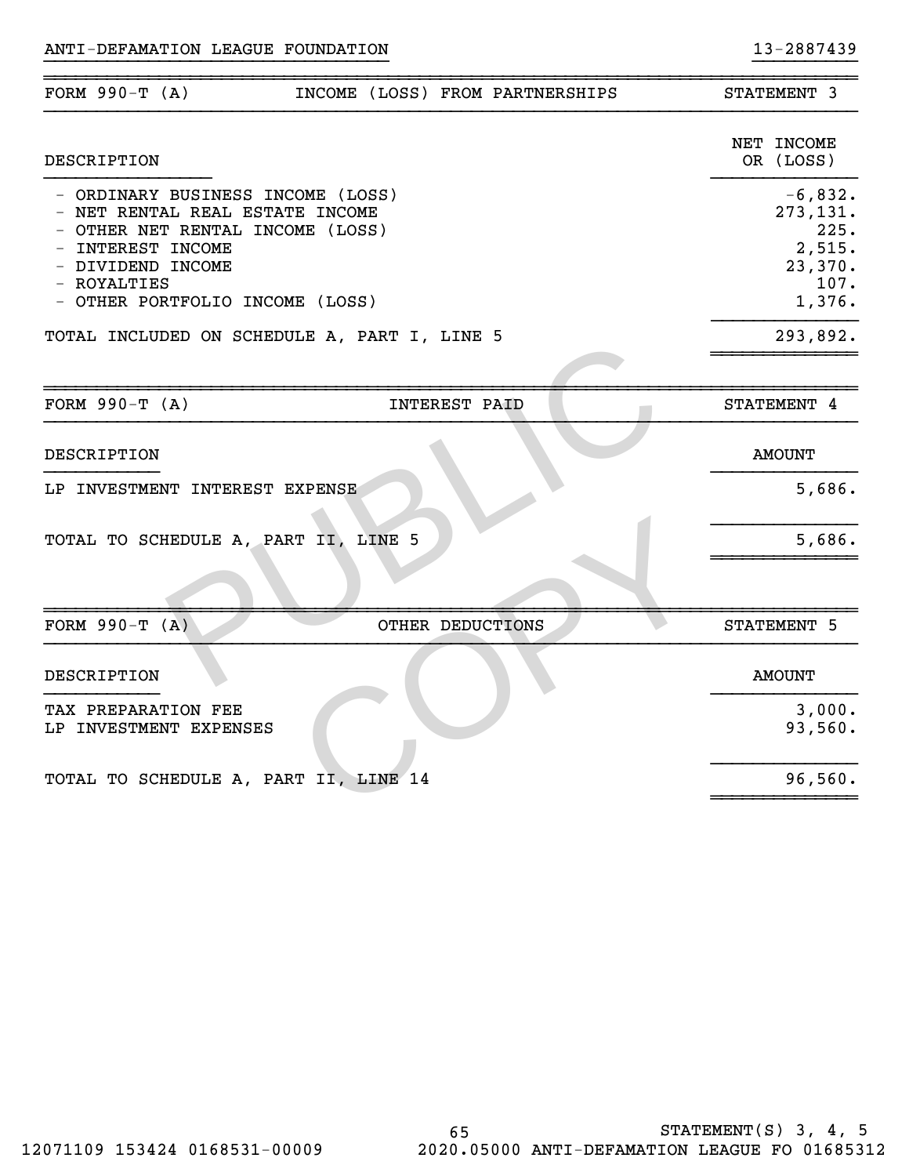| FORM $990-T (A)$                                                                                                                                                                                     | INCOME (LOSS) FROM PARTNERSHIPS |                      |  | STATEMENT 3                                                          |
|------------------------------------------------------------------------------------------------------------------------------------------------------------------------------------------------------|---------------------------------|----------------------|--|----------------------------------------------------------------------|
| <b>DESCRIPTION</b>                                                                                                                                                                                   |                                 |                      |  | NET INCOME<br>OR (LOSS)                                              |
| - ORDINARY BUSINESS INCOME (LOSS)<br>- NET RENTAL REAL ESTATE INCOME<br>- OTHER NET RENTAL INCOME (LOSS)<br>- INTEREST INCOME<br>- DIVIDEND INCOME<br>- ROYALTIES<br>- OTHER PORTFOLIO INCOME (LOSS) |                                 |                      |  | $-6,832.$<br>273,131.<br>225.<br>2,515.<br>23,370.<br>107.<br>1,376. |
| TOTAL INCLUDED ON SCHEDULE A, PART I, LINE 5                                                                                                                                                         |                                 |                      |  | 293,892.                                                             |
|                                                                                                                                                                                                      |                                 |                      |  |                                                                      |
| FORM $990-T (A)$                                                                                                                                                                                     |                                 | <b>INTEREST PAID</b> |  | STATEMENT 4                                                          |
| DESCRIPTION                                                                                                                                                                                          |                                 |                      |  | <b>AMOUNT</b>                                                        |
| LP INVESTMENT INTEREST EXPENSE                                                                                                                                                                       |                                 |                      |  | 5,686.                                                               |
| TOTAL TO SCHEDULE A, PART II, LINE 5                                                                                                                                                                 |                                 |                      |  | 5,686.                                                               |
|                                                                                                                                                                                                      |                                 |                      |  |                                                                      |
| FORM $990-T (A)$                                                                                                                                                                                     |                                 | OTHER DEDUCTIONS     |  | STATEMENT 5                                                          |
| DESCRIPTION                                                                                                                                                                                          |                                 |                      |  | <b>AMOUNT</b>                                                        |
| TAX PREPARATION FEE<br>LP INVESTMENT EXPENSES                                                                                                                                                        |                                 |                      |  | 3,000.<br>93,560.                                                    |
| TOTAL TO SCHEDULE A, PART II, LINE 14                                                                                                                                                                |                                 |                      |  | 96,560.                                                              |

}}}}}}}}}}}}}}}}}}}}}}}}}}}}}}}}} }}}}}}}}}}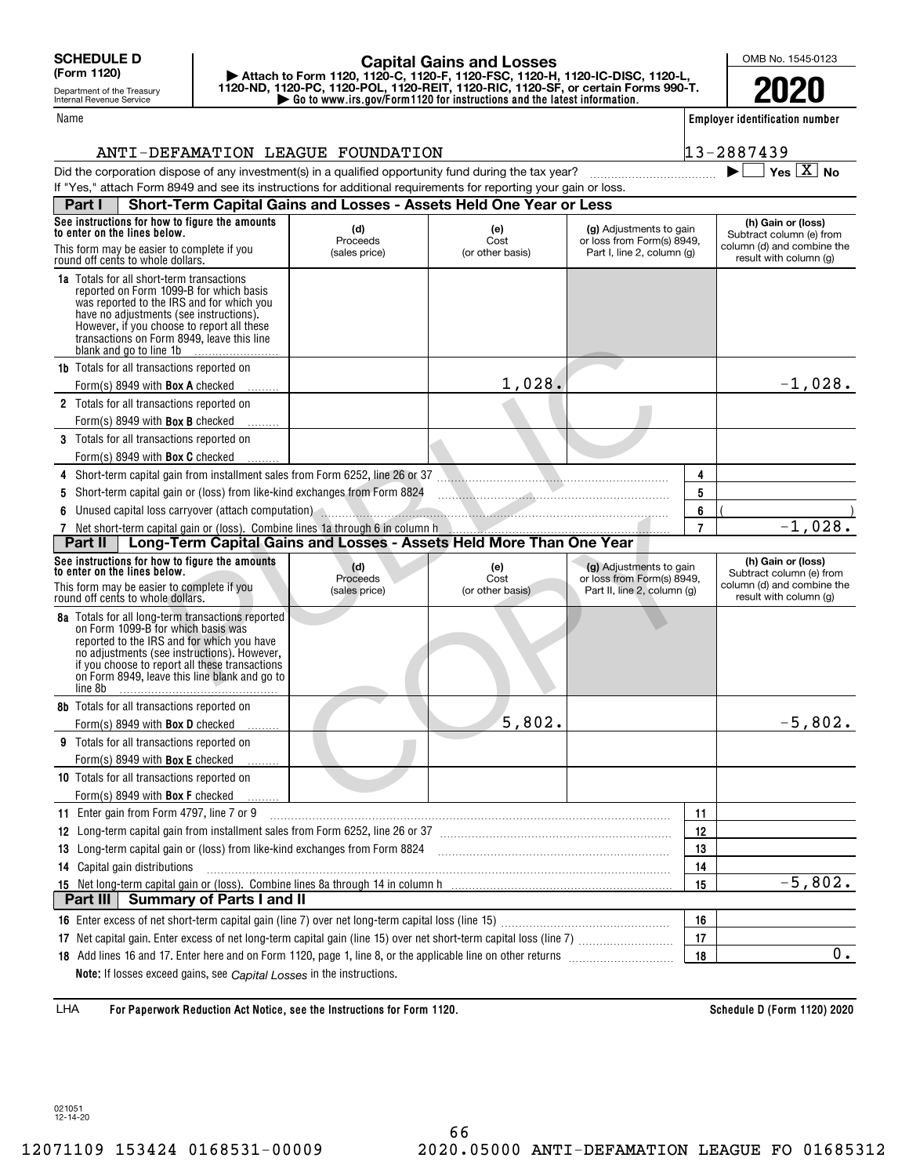Department of the Treasury Internal Revenue Service

### Name

г

### **| Go to www.irs.gov/Form1120 for instructions and the latest information. | Attach to Form 1120, 1120-C, 1120-F, 1120-FSC, 1120-H, 1120-IC-DISC, 1120-L, 1120-ND, 1120-PC, 1120-POL, 1120-REIT, 1120-RIC, 1120-SF, or certain Forms 990-T. Capital Gains and Losses**

OMB No. 1545-0123

**2020**

**Employer identification number**

 $\blacktriangleright$   $\Box$  Yes  $\boxed{X}$  No

# ANTI-DEFAMATION LEAGUE FOUNDATION 13-2887439

| Deut L. Chaut Taum Conital Caing and Langes - Assats Hald Cup Vaculari Lang                                      |
|------------------------------------------------------------------------------------------------------------------|
| If "Yes," attach Form 8949 and see its instructions for additional requirements for reporting your gain or loss. |
| Did the corporation dispose of any investment(s) in a qualified opportunity fund during the tax year?            |

|   | See instructions for how to figure the amounts<br>to enter on the lines below.                                                                                                                                                                                                                             | (d)<br>Proceeds                  | (e)<br>Cost                      | (g) Adjustments to gain<br>or loss from Form(s) 8949,                                |                | (h) Gain or (loss)<br>Subtract column (e) from<br>column (d) and combine the |
|---|------------------------------------------------------------------------------------------------------------------------------------------------------------------------------------------------------------------------------------------------------------------------------------------------------------|----------------------------------|----------------------------------|--------------------------------------------------------------------------------------|----------------|------------------------------------------------------------------------------|
|   | This form may be easier to complete if you<br>round off cents to whole dollars.                                                                                                                                                                                                                            | (sales price)                    | (or other basis)                 | Part I, line 2, column (g)                                                           |                | result with column (g)                                                       |
|   | <b>1a</b> Totals for all short-term transactions<br>reported on Form 1099-B for which basis<br>was reported to the IRS and for which you<br>have no adjustments (see instructions).<br>However, if you choose to report all these<br>transactions on Form 8949, leave this line<br>blank and go to line 1b |                                  |                                  |                                                                                      |                |                                                                              |
|   | <b>1b</b> Totals for all transactions reported on                                                                                                                                                                                                                                                          |                                  |                                  |                                                                                      |                |                                                                              |
|   | Form(s) 8949 with <b>Box A</b> checked                                                                                                                                                                                                                                                                     |                                  | 1,028.                           |                                                                                      |                | $-1,028.$                                                                    |
|   | 2 Totals for all transactions reported on<br>Form(s) 8949 with <b>Box B</b> checked                                                                                                                                                                                                                        |                                  |                                  |                                                                                      |                |                                                                              |
|   | 3 Totals for all transactions reported on                                                                                                                                                                                                                                                                  |                                  |                                  |                                                                                      |                |                                                                              |
|   | Form(s) 8949 with <b>Box C</b> checked                                                                                                                                                                                                                                                                     |                                  |                                  |                                                                                      |                |                                                                              |
|   | 4 Short-term capital gain from installment sales from Form 6252, line 26 or 37                                                                                                                                                                                                                             |                                  |                                  |                                                                                      | 4              |                                                                              |
| 5 | Short-term capital gain or (loss) from like-kind exchanges from Form 8824 [10] Manus Manus Manus Manus Museum                                                                                                                                                                                              |                                  |                                  |                                                                                      | 5              |                                                                              |
|   | 6 Unused capital loss carryover (attach computation)                                                                                                                                                                                                                                                       |                                  |                                  |                                                                                      | 6              |                                                                              |
|   |                                                                                                                                                                                                                                                                                                            |                                  |                                  |                                                                                      | $\overline{7}$ | $-1,028.$                                                                    |
|   | Long-Term Capital Gains and Losses - Assets Held More Than One Year<br>Part II                                                                                                                                                                                                                             |                                  |                                  |                                                                                      |                |                                                                              |
|   | See instructions for how to figure the amounts<br>to enter on the lines below.<br>This form may be easier to complete if you                                                                                                                                                                               | (d)<br>Proceeds<br>(sales price) | (e)<br>Cost<br>(or other basis). | (g) Adjustments to gain<br>or loss from Form(s) 8949,<br>Part II, line 2, column (g) |                | (h) Gain or (loss)<br>Subtract column (e) from<br>column (d) and combine the |
|   | round off cents to whole dollars.                                                                                                                                                                                                                                                                          |                                  |                                  |                                                                                      |                | result with column (g)                                                       |
|   |                                                                                                                                                                                                                                                                                                            |                                  |                                  |                                                                                      |                |                                                                              |
|   | 8a Totals for all long-term transactions reported<br>on Form 1099-B for which basis was<br>reported to the IRS and for which you have<br>no adjustments (see instructions). However,<br>if you choose to report all these transactions<br>on Form 8949, leave this line blank and go to<br>line 8b         |                                  |                                  |                                                                                      |                |                                                                              |
|   | 8b Totals for all transactions reported on                                                                                                                                                                                                                                                                 |                                  |                                  |                                                                                      |                |                                                                              |
|   | Form(s) 8949 with <b>Box D</b> checked                                                                                                                                                                                                                                                                     |                                  | 5,802.                           |                                                                                      |                | $-5,802.$                                                                    |
|   | <b>9</b> Totals for all transactions reported on                                                                                                                                                                                                                                                           |                                  |                                  |                                                                                      |                |                                                                              |
|   | Form(s) 8949 with <b>Box E</b> checked                                                                                                                                                                                                                                                                     |                                  |                                  |                                                                                      |                |                                                                              |
|   | 10 Totals for all transactions reported on                                                                                                                                                                                                                                                                 |                                  |                                  |                                                                                      |                |                                                                              |
|   | Form(s) 8949 with <b>Box F</b> checked                                                                                                                                                                                                                                                                     |                                  |                                  |                                                                                      |                |                                                                              |
|   | 11 Enter gain from Form 4797, line 7 or 9                                                                                                                                                                                                                                                                  |                                  |                                  |                                                                                      | 11             |                                                                              |
|   | 12 Long-term capital gain from installment sales from Form 6252, line 26 or 37 [11] [12] Long-term capital gain from installment sales from Form 6252, line 26 or 37                                                                                                                                       |                                  |                                  |                                                                                      | 12             |                                                                              |
|   | 13 Long-term capital gain or (loss) from like-kind exchanges from Form 8824 [11] [12] Long-term capital gain or (loss) from like-kind exchanges from Form 8824                                                                                                                                             |                                  |                                  |                                                                                      | 13             |                                                                              |
|   | 14 Capital gain distributions                                                                                                                                                                                                                                                                              |                                  |                                  |                                                                                      | 14             |                                                                              |
|   |                                                                                                                                                                                                                                                                                                            |                                  |                                  |                                                                                      | 15             | $-5,802.$                                                                    |
|   | Part III   Summary of Parts I and II                                                                                                                                                                                                                                                                       |                                  |                                  |                                                                                      |                |                                                                              |
|   |                                                                                                                                                                                                                                                                                                            |                                  |                                  |                                                                                      | 16             |                                                                              |
|   |                                                                                                                                                                                                                                                                                                            |                                  |                                  |                                                                                      | 17             |                                                                              |
|   |                                                                                                                                                                                                                                                                                                            |                                  |                                  |                                                                                      | 18             | $\overline{0}$ .                                                             |

**For Paperwork Reduction Act Notice, see the Instructions for Form 1120. Schedule D (Form 1120) 2020** LHA

021051 12-14-20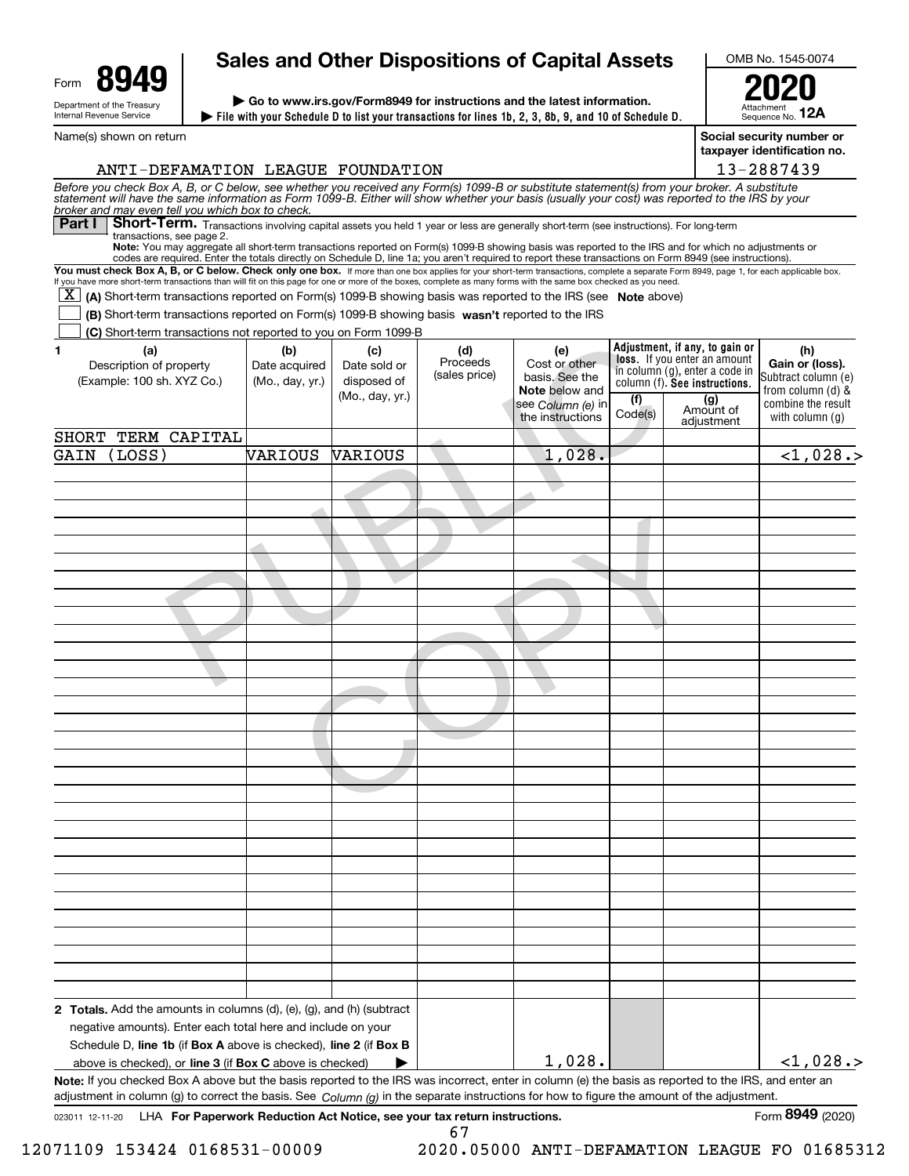| Form | <u> 1949</u>                                           |
|------|--------------------------------------------------------|
|      | Department of the Treasury<br>Internal Revenue Service |

# **Sales and Other Dispositions of Capital Assets**

**File with your Schedule D to list your transactions for lines 1b, 2, 3, 8b, 9, and 10 of Schedule D. | | Go to www.irs.gov/Form8949 for instructions and the latest information.**

Name(s) shown on return



OMB No. 1545-0074

**Social security number or taxpayer identification no.**

| ANTI-DEFAMATION LEAGUE FOUNDATION                                                                                                                                                                                                                                                                                                                          |                 |                 |                           |                                 |         |                                                                | 13-2887439                             |
|------------------------------------------------------------------------------------------------------------------------------------------------------------------------------------------------------------------------------------------------------------------------------------------------------------------------------------------------------------|-----------------|-----------------|---------------------------|---------------------------------|---------|----------------------------------------------------------------|----------------------------------------|
| Before you check Box A, B, or C below, see whether you received any Form(s) 1099-B or substitute statement(s) from your broker. A substitute statement will have the same information as Form 1099-B. Either will show whether                                                                                                                             |                 |                 |                           |                                 |         |                                                                |                                        |
| broker and may even tell you which box to check.<br>Short-Term. Transactions involving capital assets you held 1 year or less are generally short-term (see instructions). For long-term<br>Part I                                                                                                                                                         |                 |                 |                           |                                 |         |                                                                |                                        |
| transactions, see page 2.<br>Note: You may aggregate all short-term transactions reported on Form(s) 1099-B showing basis was reported to the IRS and for which no adjustments or                                                                                                                                                                          |                 |                 |                           |                                 |         |                                                                |                                        |
| codes are required. Enter the totals directly on Schedule D, line 1a; you aren't required to report these transactions on Form 8949 (see instructions).                                                                                                                                                                                                    |                 |                 |                           |                                 |         |                                                                |                                        |
| You must check Box A, B, or C below. Check only one box. If more than one box applies for your short-term transactions, complete a separate Form 8949, page 1, for each applicable box.<br>If you have more short-term transactions than will fit on this page for one or more of the boxes, complete as many forms with the same box checked as you need. |                 |                 |                           |                                 |         |                                                                |                                        |
| $\overline{X}$ (A) Short-term transactions reported on Form(s) 1099-B showing basis was reported to the IRS (see Note above)                                                                                                                                                                                                                               |                 |                 |                           |                                 |         |                                                                |                                        |
| (B) Short-term transactions reported on Form(s) 1099-B showing basis wasn't reported to the IRS                                                                                                                                                                                                                                                            |                 |                 |                           |                                 |         |                                                                |                                        |
| (C) Short-term transactions not reported to you on Form 1099-B                                                                                                                                                                                                                                                                                             |                 |                 |                           |                                 |         |                                                                |                                        |
| (a)<br>1                                                                                                                                                                                                                                                                                                                                                   | (b)             | (c)             | (d)                       | (e)                             |         | Adjustment, if any, to gain or<br>loss. If you enter an amount | (h)                                    |
| Description of property                                                                                                                                                                                                                                                                                                                                    | Date acquired   | Date sold or    | Proceeds<br>(sales price) | Cost or other<br>basis. See the |         | in column (g), enter a code in                                 | Gain or (loss).<br>Subtract column (e) |
| (Example: 100 sh. XYZ Co.)                                                                                                                                                                                                                                                                                                                                 | (Mo., day, yr.) | disposed of     |                           | <b>Note</b> below and           |         | column (f). See instructions.                                  | from column $(d)$ &                    |
|                                                                                                                                                                                                                                                                                                                                                            |                 | (Mo., day, yr.) |                           | see Column (e) in               | (f)     | (g)<br>Amount of                                               | combine the result                     |
|                                                                                                                                                                                                                                                                                                                                                            |                 |                 |                           | the instructions                | Code(s) | adjustment                                                     | with column $(q)$                      |
| SHORT TERM CAPITAL                                                                                                                                                                                                                                                                                                                                         |                 |                 |                           |                                 |         |                                                                |                                        |
| (LOSS)<br>GAIN                                                                                                                                                                                                                                                                                                                                             | VARIOUS         | VARIOUS         |                           | 1,028.                          |         |                                                                | <1,028.                                |
|                                                                                                                                                                                                                                                                                                                                                            |                 |                 |                           |                                 |         |                                                                |                                        |
|                                                                                                                                                                                                                                                                                                                                                            |                 |                 |                           |                                 |         |                                                                |                                        |
|                                                                                                                                                                                                                                                                                                                                                            |                 |                 |                           |                                 |         |                                                                |                                        |
|                                                                                                                                                                                                                                                                                                                                                            |                 |                 |                           |                                 |         |                                                                |                                        |
|                                                                                                                                                                                                                                                                                                                                                            |                 |                 |                           |                                 |         |                                                                |                                        |
|                                                                                                                                                                                                                                                                                                                                                            |                 |                 |                           |                                 |         |                                                                |                                        |
|                                                                                                                                                                                                                                                                                                                                                            |                 |                 |                           |                                 |         |                                                                |                                        |
|                                                                                                                                                                                                                                                                                                                                                            |                 |                 |                           |                                 |         |                                                                |                                        |
|                                                                                                                                                                                                                                                                                                                                                            |                 |                 |                           |                                 |         |                                                                |                                        |
|                                                                                                                                                                                                                                                                                                                                                            |                 |                 |                           |                                 |         |                                                                |                                        |
|                                                                                                                                                                                                                                                                                                                                                            |                 |                 |                           |                                 |         |                                                                |                                        |
|                                                                                                                                                                                                                                                                                                                                                            |                 |                 |                           |                                 |         |                                                                |                                        |
|                                                                                                                                                                                                                                                                                                                                                            |                 |                 |                           |                                 |         |                                                                |                                        |
|                                                                                                                                                                                                                                                                                                                                                            |                 |                 |                           |                                 |         |                                                                |                                        |
|                                                                                                                                                                                                                                                                                                                                                            |                 |                 |                           |                                 |         |                                                                |                                        |
|                                                                                                                                                                                                                                                                                                                                                            |                 |                 |                           |                                 |         |                                                                |                                        |
|                                                                                                                                                                                                                                                                                                                                                            |                 |                 |                           |                                 |         |                                                                |                                        |
|                                                                                                                                                                                                                                                                                                                                                            |                 |                 |                           |                                 |         |                                                                |                                        |
|                                                                                                                                                                                                                                                                                                                                                            |                 |                 |                           |                                 |         |                                                                |                                        |
|                                                                                                                                                                                                                                                                                                                                                            |                 |                 |                           |                                 |         |                                                                |                                        |
|                                                                                                                                                                                                                                                                                                                                                            |                 |                 |                           |                                 |         |                                                                |                                        |
|                                                                                                                                                                                                                                                                                                                                                            |                 |                 |                           |                                 |         |                                                                |                                        |
|                                                                                                                                                                                                                                                                                                                                                            |                 |                 |                           |                                 |         |                                                                |                                        |
|                                                                                                                                                                                                                                                                                                                                                            |                 |                 |                           |                                 |         |                                                                |                                        |
|                                                                                                                                                                                                                                                                                                                                                            |                 |                 |                           |                                 |         |                                                                |                                        |
|                                                                                                                                                                                                                                                                                                                                                            |                 |                 |                           |                                 |         |                                                                |                                        |
|                                                                                                                                                                                                                                                                                                                                                            |                 |                 |                           |                                 |         |                                                                |                                        |
|                                                                                                                                                                                                                                                                                                                                                            |                 |                 |                           |                                 |         |                                                                |                                        |
|                                                                                                                                                                                                                                                                                                                                                            |                 |                 |                           |                                 |         |                                                                |                                        |
|                                                                                                                                                                                                                                                                                                                                                            |                 |                 |                           |                                 |         |                                                                |                                        |
| 2 Totals. Add the amounts in columns (d), (e), (g), and (h) (subtract                                                                                                                                                                                                                                                                                      |                 |                 |                           |                                 |         |                                                                |                                        |
| negative amounts). Enter each total here and include on your                                                                                                                                                                                                                                                                                               |                 |                 |                           |                                 |         |                                                                |                                        |
| Schedule D, line 1b (if Box A above is checked), line 2 (if Box B                                                                                                                                                                                                                                                                                          |                 |                 |                           |                                 |         |                                                                |                                        |
| above is checked), or line 3 (if Box C above is checked)                                                                                                                                                                                                                                                                                                   |                 |                 |                           | 1,028.                          |         |                                                                | $<$ 1,028.>                            |
| Note: If you checked Box A above but the basis reported to the IRS was incorrect, enter in column (e) the basis as reported to the IRS, and enter an<br>adjustment in column (g) to correct the basis. See $Column(q)$ in the separate instructions for how to figure the amount of the adjustment.                                                        |                 |                 |                           |                                 |         |                                                                |                                        |

67